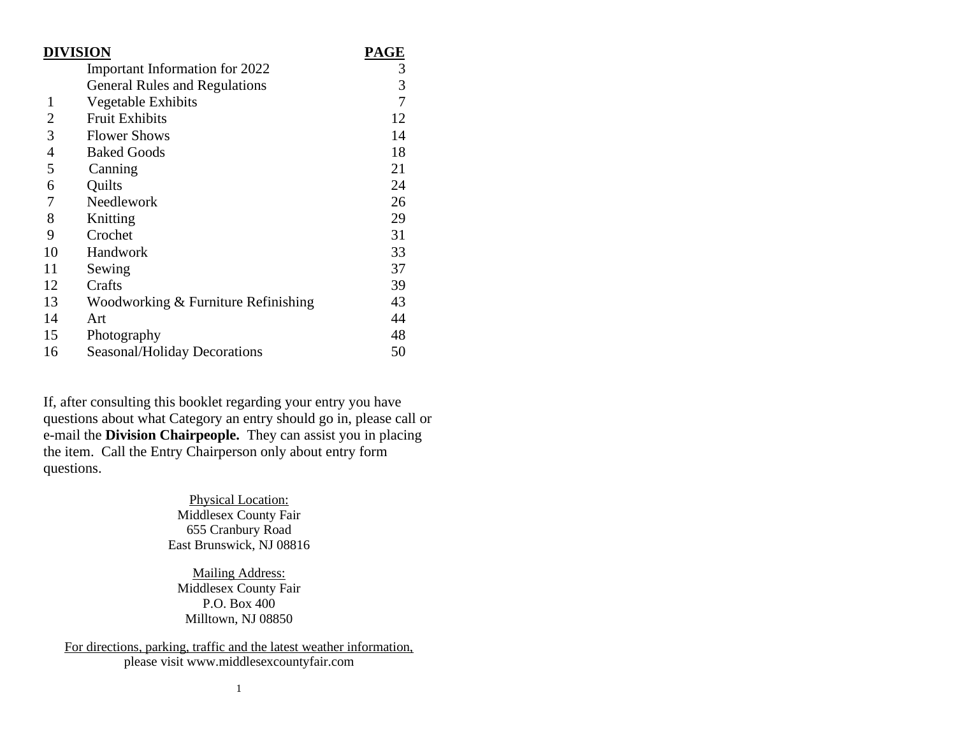| <b>DIVISION</b> | PAGE                                 |               |
|-----------------|--------------------------------------|---------------|
|                 | Important Information for 2022       |               |
|                 | <b>General Rules and Regulations</b> | $\frac{3}{3}$ |
| 1               | Vegetable Exhibits                   | 7             |
| 2               | <b>Fruit Exhibits</b>                | 12            |
| 3               | <b>Flower Shows</b>                  | 14            |
| $\overline{4}$  | <b>Baked Goods</b>                   | 18            |
| 5               | Canning                              | 21            |
| 6               | Quilts                               | 24            |
| 7               | Needlework                           | 26            |
| 8               | Knitting                             | 29            |
| 9               | Crochet                              | 31            |
| 10              | Handwork                             | 33            |
| 11              | Sewing                               | 37            |
| 12              | Crafts                               | 39            |
| 13              | Woodworking & Furniture Refinishing  | 43            |
| 14              | Art                                  | 44            |
| 15              | Photography                          | 48            |
| 16              | Seasonal/Holiday Decorations         | 50            |

If, after consulting this booklet regarding your entry you have questions about what Category an entry should go in, please call or e-mail the **Division Chairpeople.** They can assist you in placing the item. Call the Entry Chairperson only about entry form questions.

> Physical Location: Middlesex County Fair 655 Cranbury Road East Brunswick, NJ 08816

Mailing Address: Middlesex County Fair P.O. Box 400 Milltown, NJ 08850

For directions, parking, traffic and the latest weather information, please visit www.middlesexcountyfair.com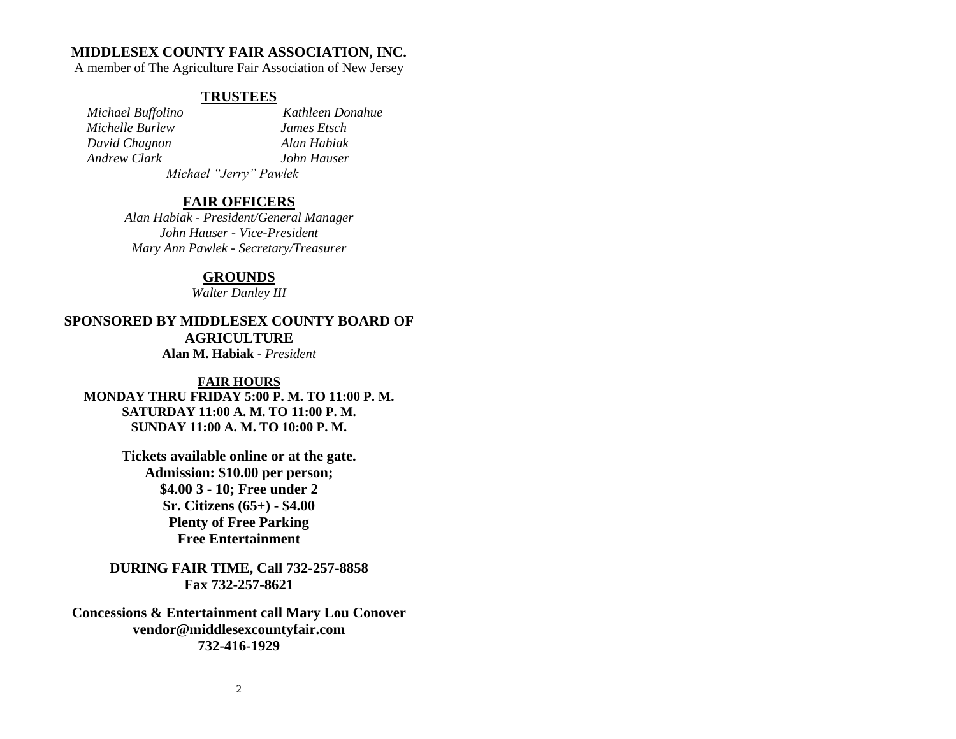# **MIDDLESEX COUNTY FAIR ASSOCIATION, INC.**

A member of The Agriculture Fair Association of New Jersey

# **TRUSTEES**

 *Michael Buffolino Kathleen Donahue Michelle Burlew James Etsch David Chagnon Alan Habiak Andrew Clark John Hauser Michael "Jerry" Pawlek*

# **FAIR OFFICERS**

*Alan Habiak - President/General Manager John Hauser - Vice-President Mary Ann Pawlek - Secretary/Treasurer*

# **GROUNDS**

*Walter Danley III*

**SPONSORED BY MIDDLESEX COUNTY BOARD OF AGRICULTURE Alan M. Habiak -** *President*

# **FAIR HOURS**

**MONDAY THRU FRIDAY 5:00 P. M. TO 11:00 P. M. SATURDAY 11:00 A. M. TO 11:00 P. M. SUNDAY 11:00 A. M. TO 10:00 P. M.**

> **Tickets available online or at the gate. Admission: \$10.00 per person; \$4.00 3 - 10; Free under 2 Sr. Citizens (65+) - \$4.00 Plenty of Free Parking Free Entertainment**

**DURING FAIR TIME, Call 732-257-8858 Fax 732-257-8621**

**Concessions & Entertainment call Mary Lou Conover vendor@middlesexcountyfair.com 732-416-1929**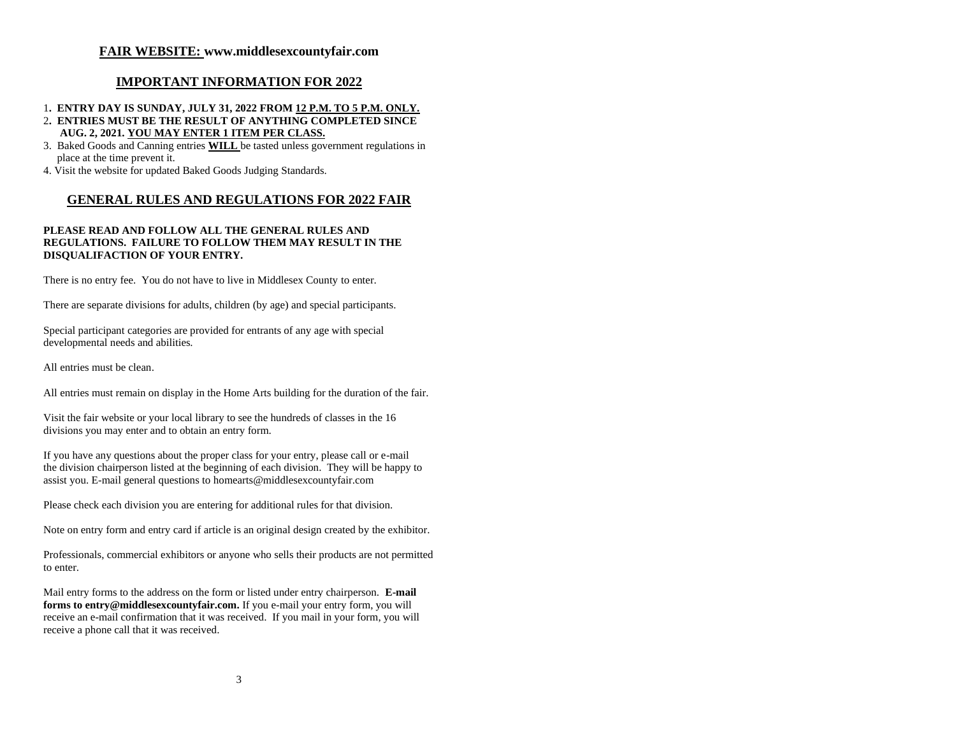# **FAIR WEBSITE: www.middlesexcountyfair.com**

# **IMPORTANT INFORMATION FOR 2022**

# 1**. ENTRY DAY IS SUNDAY, JULY 31, 2022 FROM 12 P.M. TO 5 P.M. ONLY.**

- 2**. ENTRIES MUST BE THE RESULT OF ANYTHING COMPLETED SINCE AUG. 2, 2021. YOU MAY ENTER 1 ITEM PER CLASS.**
- 3. Baked Goods and Canning entries **WILL** be tasted unless government regulations in place at the time prevent it.
- 4. Visit the website for updated Baked Goods Judging Standards.

# **GENERAL RULES AND REGULATIONS FOR 2022 FAIR**

# **PLEASE READ AND FOLLOW ALL THE GENERAL RULES AND REGULATIONS. FAILURE TO FOLLOW THEM MAY RESULT IN THE DISQUALIFACTION OF YOUR ENTRY.**

There is no entry fee. You do not have to live in Middlesex County to enter.

There are separate divisions for adults, children (by age) and special participants.

Special participant categories are provided for entrants of any age with special developmental needs and abilities.

All entries must be clean.

All entries must remain on display in the Home Arts building for the duration of the fair.

Visit the fair website or your local library to see the hundreds of classes in the 16 divisions you may enter and to obtain an entry form.

If you have any questions about the proper class for your entry, please call or e-mail the division chairperson listed at the beginning of each division. They will be happy to assist you. E-mail general questions t[o homearts@middlesexcountyfair.com](mailto:homearts@middlesexcountyfair.com)

Please check each division you are entering for additional rules for that division.

Note on entry form and entry card if article is an original design created by the exhibitor.

Professionals, commercial exhibitors or anyone who sells their products are not permitted to enter.

Mail entry forms to the address on the form or listed under entry chairperson. **E-mail forms t[o entry@middlesexcountyfair.com.](mailto:entry@middlesexcountyfair.com)** If you e-mail your entry form, you will receive an e-mail confirmation that it was received. If you mail in your form, you will receive a phone call that it was received.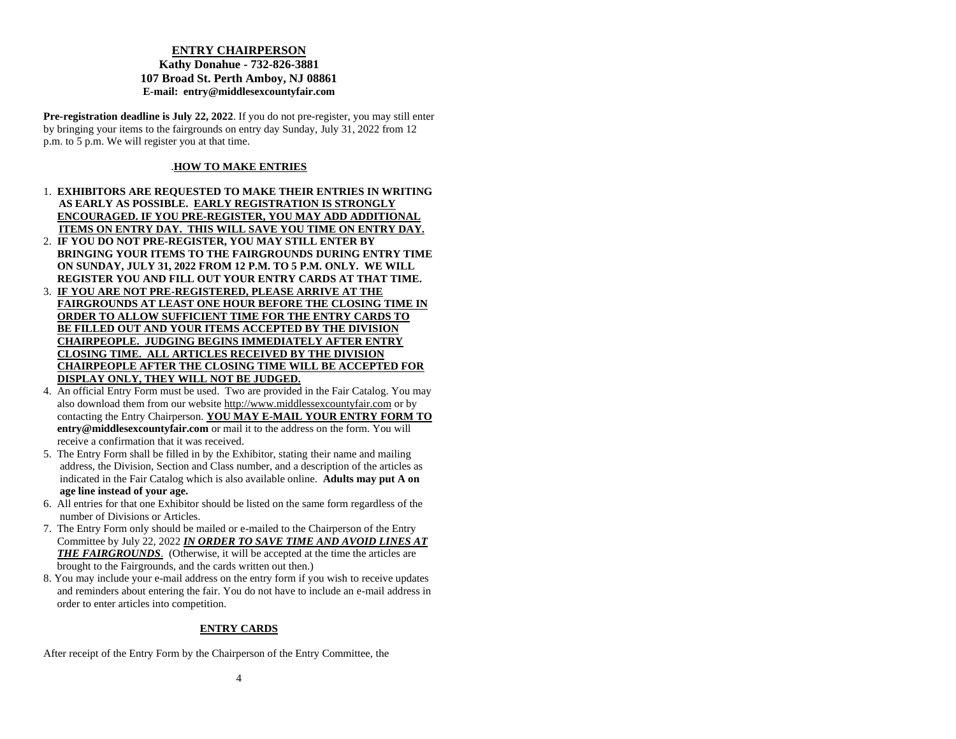# **ENTRY CHAIRPERSON**

# **Kathy Donahue - 732-826-3881 107 Broad St. Perth Amboy, NJ 08861 E-mail: [entry@middlesexcountyfair.com](mailto:entry@middlesexcountyfair.com)**

**Pre-registration deadline is July 22, 2022**. If you do not pre-register, you may still enter by bringing your items to the fairgrounds on entry day Sunday, July 31, 2022 from 12 p.m. to 5 p.m. We will register you at that time.

# .**HOW TO MAKE ENTRIES**

- 1. **EXHIBITORS ARE REQUESTED TO MAKE THEIR ENTRIES IN WRITING AS EARLY AS POSSIBLE. EARLY REGISTRATION IS STRONGLY ENCOURAGED. IF YOU PRE-REGISTER, YOU MAY ADD ADDITIONAL ITEMS ON ENTRY DAY. THIS WILL SAVE YOU TIME ON ENTRY DAY.**
- 2. **IF YOU DO NOT PRE-REGISTER, YOU MAY STILL ENTER BY BRINGING YOUR ITEMS TO THE FAIRGROUNDS DURING ENTRY TIME ON SUNDAY, JULY 31, 2022 FROM 12 P.M. TO 5 P.M. ONLY. WE WILL REGISTER YOU AND FILL OUT YOUR ENTRY CARDS AT THAT TIME.**
- 3. **IF YOU ARE NOT PRE-REGISTERED, PLEASE ARRIVE AT THE FAIRGROUNDS AT LEAST ONE HOUR BEFORE THE CLOSING TIME IN ORDER TO ALLOW SUFFICIENT TIME FOR THE ENTRY CARDS TO BE FILLED OUT AND YOUR ITEMS ACCEPTED BY THE DIVISION CHAIRPEOPLE. JUDGING BEGINS IMMEDIATELY AFTER ENTRY CLOSING TIME. ALL ARTICLES RECEIVED BY THE DIVISION CHAIRPEOPLE AFTER THE CLOSING TIME WILL BE ACCEPTED FOR DISPLAY ONLY, THEY WILL NOT BE JUDGED.**
- 4. An official Entry Form must be used. Two are provided in the Fair Catalog. You may also download them from our website [http://www.middlessexcountyfair.com](http://www.middlessexcountyfair.com/) or by contacting the Entry Chairperson. **YOU MAY E-MAIL YOUR ENTRY FORM TO entry@middlesexcountyfair.com** or mail it to the address on the form. You will receive a confirmation that it was received.
- 5. The Entry Form shall be filled in by the Exhibitor, stating their name and mailing address, the Division, Section and Class number, and a description of the articles as indicated in the Fair Catalog which is also available online. **Adults may put A on age line instead of your age.**
- 6. All entries for that one Exhibitor should be listed on the same form regardless of the number of Divisions or Articles.
- 7. The Entry Form only should be mailed or e-mailed to the Chairperson of the Entry Committee by July 22, 2022 *IN ORDER TO SAVE TIME AND AVOID LINES AT THE FAIRGROUNDS*. (Otherwise, it will be accepted at the time the articles are brought to the Fairgrounds, and the cards written out then.)
- 8. You may include your e-mail address on the entry form if you wish to receive updates and reminders about entering the fair. You do not have to include an e-mail address in order to enter articles into competition.

# **ENTRY CARDS**

After receipt of the Entry Form by the Chairperson of the Entry Committee, the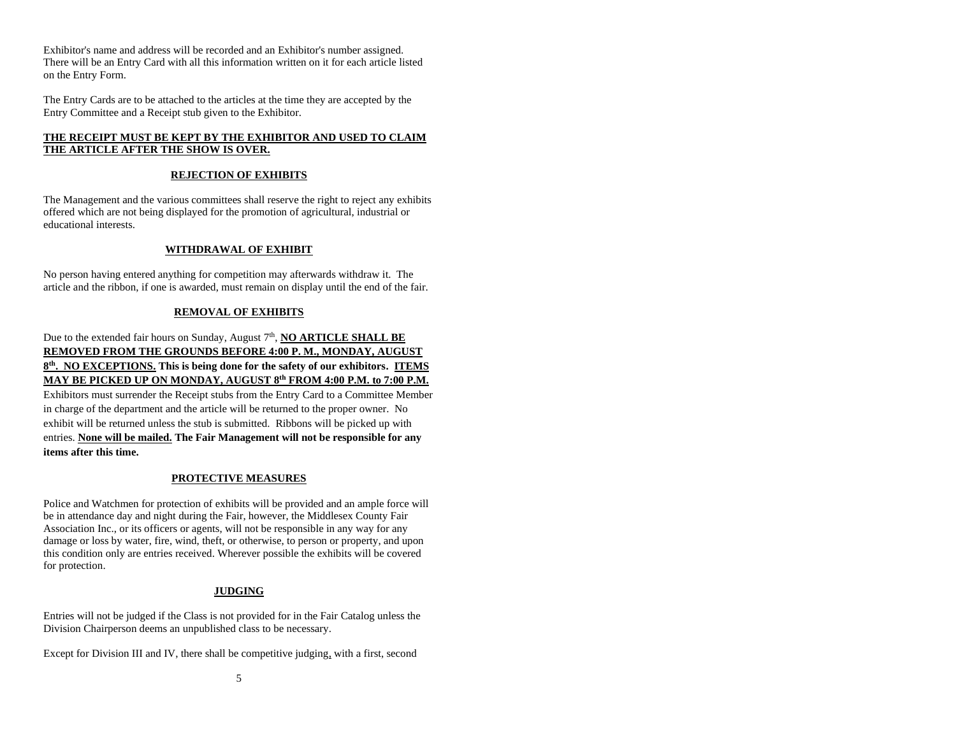Exhibitor's name and address will be recorded and an Exhibitor's number assigned. There will be an Entry Card with all this information written on it for each article listed on the Entry Form.

The Entry Cards are to be attached to the articles at the time they are accepted by the Entry Committee and a Receipt stub given to the Exhibitor.

# **THE RECEIPT MUST BE KEPT BY THE EXHIBITOR AND USED TO CLAIM THE ARTICLE AFTER THE SHOW IS OVER.**

# **REJECTION OF EXHIBITS**

The Management and the various committees shall reserve the right to reject any exhibits offered which are not being displayed for the promotion of agricultural, industrial or educational interests.

# **WITHDRAWAL OF EXHIBIT**

No person having entered anything for competition may afterwards withdraw it. The article and the ribbon, if one is awarded, must remain on display until the end of the fair.

# **REMOVAL OF EXHIBITS**

Due to the extended fair hours on Sunday, August 7<sup>th</sup>, **NO ARTICLE SHALL BE REMOVED FROM THE GROUNDS BEFORE 4:00 P. M., MONDAY, AUGUST 8 th . NO EXCEPTIONS. This is being done for the safety of our exhibitors. ITEMS MAY BE PICKED UP ON MONDAY, AUGUST 8 th FROM 4:00 P.M. to 7:00 P.M.** Exhibitors must surrender the Receipt stubs from the Entry Card to a Committee Member in charge of the department and the article will be returned to the proper owner. No exhibit will be returned unless the stub is submitted. Ribbons will be picked up with entries. **None will be mailed. The Fair Management will not be responsible for any items after this time.**

# **PROTECTIVE MEASURES**

Police and Watchmen for protection of exhibits will be provided and an ample force will be in attendance day and night during the Fair, however, the Middlesex County Fair Association Inc., or its officers or agents, will not be responsible in any way for any damage or loss by water, fire, wind, theft, or otherwise, to person or property, and upon this condition only are entries received. Wherever possible the exhibits will be covered for protection.

# **JUDGING**

Entries will not be judged if the Class is not provided for in the Fair Catalog unless the Division Chairperson deems an unpublished class to be necessary.

Except for Division III and IV, there shall be competitive judging, with a first, second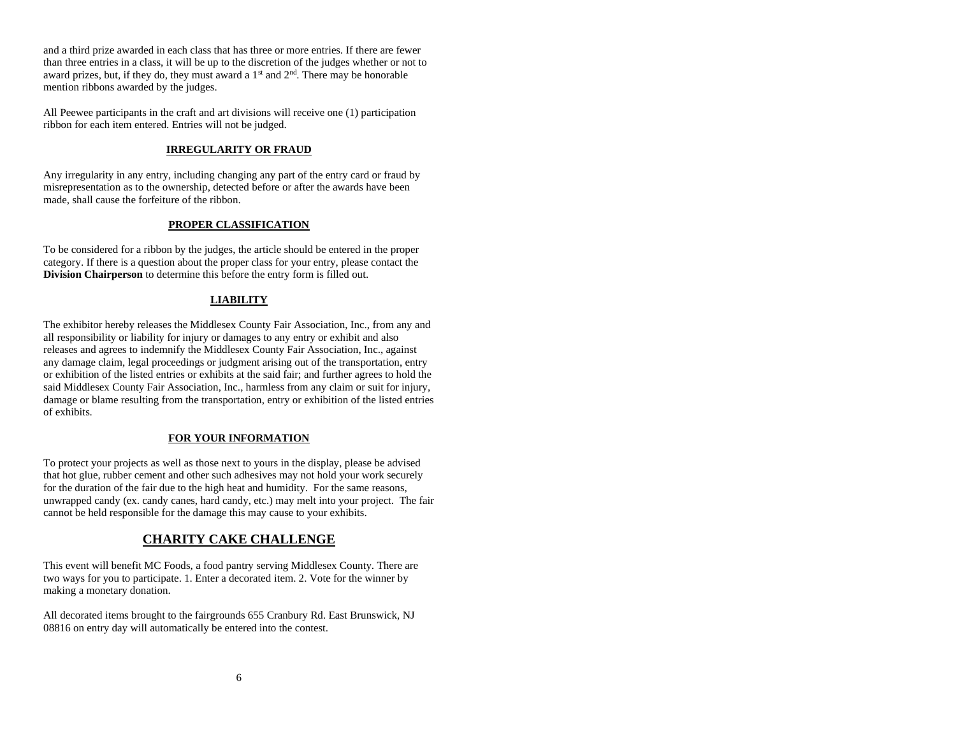and a third prize awarded in each class that has three or more entries. If there are fewer than three entries in a class, it will be up to the discretion of the judges whether or not to award prizes, but, if they do, they must award a  $1<sup>st</sup>$  and  $2<sup>nd</sup>$ . There may be honorable mention ribbons awarded by the judges.

All Peewee participants in the craft and art divisions will receive one (1) participation ribbon for each item entered. Entries will not be judged.

# **IRREGULARITY OR FRAUD**

Any irregularity in any entry, including changing any part of the entry card or fraud by misrepresentation as to the ownership, detected before or after the awards have been made, shall cause the forfeiture of the ribbon.

# **PROPER CLASSIFICATION**

To be considered for a ribbon by the judges, the article should be entered in the proper category. If there is a question about the proper class for your entry, please contact the **Division Chairperson** to determine this before the entry form is filled out.

# **LIABILITY**

The exhibitor hereby releases the Middlesex County Fair Association, Inc., from any and all responsibility or liability for injury or damages to any entry or exhibit and also releases and agrees to indemnify the Middlesex County Fair Association, Inc., against any damage claim, legal proceedings or judgment arising out of the transportation, entry or exhibition of the listed entries or exhibits at the said fair; and further agrees to hold the said Middlesex County Fair Association, Inc., harmless from any claim or suit for injury, damage or blame resulting from the transportation, entry or exhibition of the listed entries of exhibits.

# **FOR YOUR INFORMATION**

To protect your projects as well as those next to yours in the display, please be advised that hot glue, rubber cement and other such adhesives may not hold your work securely for the duration of the fair due to the high heat and humidity. For the same reasons, unwrapped candy (ex. candy canes, hard candy, etc.) may melt into your project. The fair cannot be held responsible for the damage this may cause to your exhibits.

# **CHARITY CAKE CHALLENGE**

This event will benefit MC Foods, a food pantry serving Middlesex County. There are two ways for you to participate. 1. Enter a decorated item. 2. Vote for the winner by making a monetary donation.

All decorated items brought to the fairgrounds 655 Cranbury Rd. East Brunswick, NJ 08816 on entry day will automatically be entered into the contest.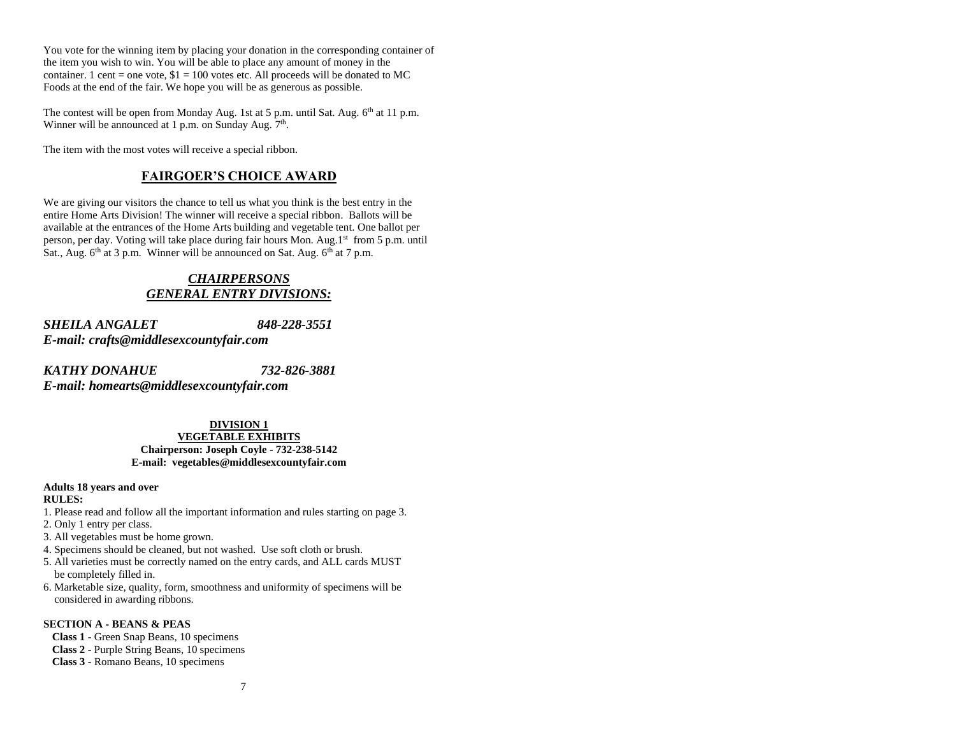You vote for the winning item by placing your donation in the corresponding container of the item you wish to win. You will be able to place any amount of money in the container. 1 cent = one vote,  $$1 = 100$  votes etc. All proceeds will be donated to MC Foods at the end of the fair. We hope you will be as generous as possible.

The contest will be open from Monday Aug. 1st at 5 p.m. until Sat. Aug. 6<sup>th</sup> at 11 p.m. Winner will be announced at 1 p.m. on Sunday Aug. 7<sup>th</sup>.

The item with the most votes will receive a special ribbon.

# **FAIRGOER'S CHOICE AWARD**

We are giving our visitors the chance to tell us what you think is the best entry in the entire Home Arts Division! The winner will receive a special ribbon. Ballots will be available at the entrances of the Home Arts building and vegetable tent. One ballot per person, per day. Voting will take place during fair hours Mon. Aug.1st from 5 p.m. until Sat., Aug. 6<sup>th</sup> at 3 p.m. Winner will be announced on Sat. Aug. 6<sup>th</sup> at 7 p.m.

# *CHAIRPERSONS GENERAL ENTRY DIVISIONS:*

*SHEILA ANGALET 848-228-3551 E-mail: [crafts@middlesexcountyfair.com](mailto:crafts@middlesexcountyfair.com)*

*KATHY DONAHUE 732-826-3881 E-mail: [homearts@middlesexcountyfair.com](mailto:homearts@middlesexcountyfair.com)*

> **DIVISION 1 VEGETABLE EXHIBITS Chairperson: Joseph Coyle - 732-238-5142 E-mail: [vegetables@middlesexcountyfair.com](mailto:vegetables@middlesexcountyfair.com)**

#### **Adults 18 years and over RULES:**

- 1. Please read and follow all the important information and rules starting on page 3.
- 2. Only 1 entry per class.
- 3. All vegetables must be home grown.
- 4. Specimens should be cleaned, but not washed. Use soft cloth or brush.
- 5. All varieties must be correctly named on the entry cards, and ALL cards MUST be completely filled in.
- 6. Marketable size, quality, form, smoothness and uniformity of specimens will be considered in awarding ribbons.

# **SECTION A - BEANS & PEAS**

**Class 1 -** Green Snap Beans, 10 specimens **Class 2 -** Purple String Beans, 10 specimens **Class 3 -** Romano Beans, 10 specimens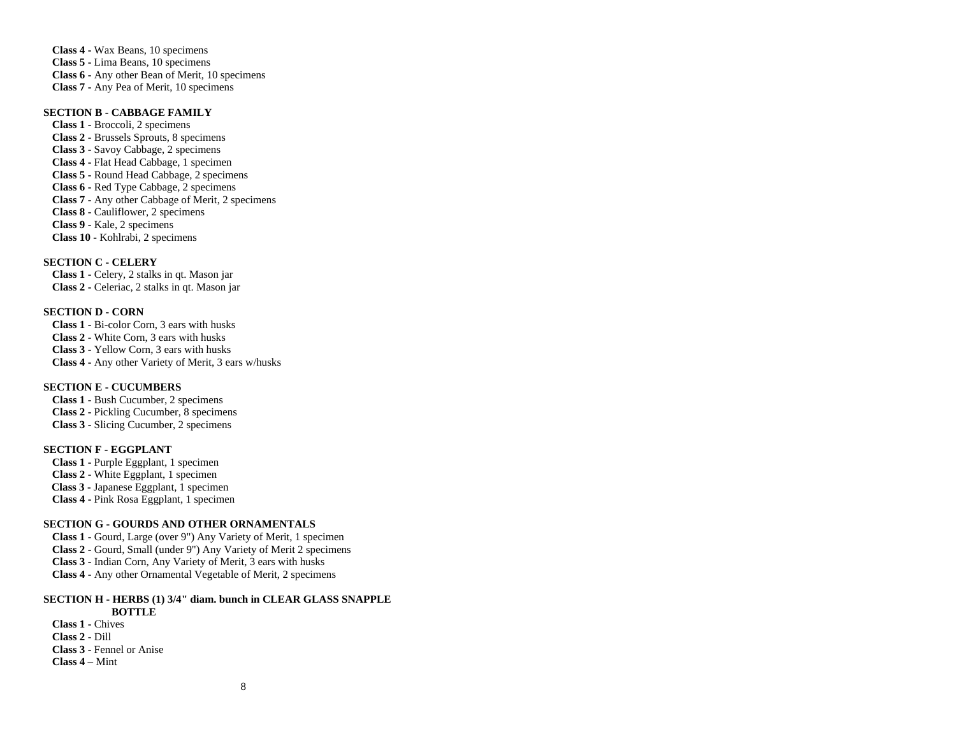**Class 4 -** Wax Beans, 10 specimens **Class 5 -** Lima Beans, 10 specimens **Class 6 -** Any other Bean of Merit, 10 specimens **Class 7 -** Any Pea of Merit, 10 specimens

# **SECTION B - CABBAGE FAMILY**

**Class 1 -** Broccoli, 2 specimens **Class 2 -** Brussels Sprouts, 8 specimens **Class 3 -** Savoy Cabbage, 2 specimens **Class 4 -** Flat Head Cabbage, 1 specimen **Class 5 -** Round Head Cabbage, 2 specimens **Class 6 -** Red Type Cabbage, 2 specimens **Class 7 -** Any other Cabbage of Merit, 2 specimens **Class 8 -** Cauliflower, 2 specimens **Class 9 -** Kale, 2 specimens **Class 10 -** Kohlrabi, 2 specimens

# **SECTION C - CELERY**

**Class 1 -** Celery, 2 stalks in qt. Mason jar **Class 2 -** Celeriac, 2 stalks in qt. Mason jar

# **SECTION D - CORN**

**Class 1 -** Bi-color Corn, 3 ears with husks **Class 2 -** White Corn, 3 ears with husks **Class 3 -** Yellow Corn, 3 ears with husks **Class 4 -** Any other Variety of Merit, 3 ears w/husks

# **SECTION E - CUCUMBERS**

**Class 1 -** Bush Cucumber, 2 specimens **Class 2 -** Pickling Cucumber, 8 specimens **Class 3 -** Slicing Cucumber, 2 specimens

# **SECTION F - EGGPLANT**

**Class 1 -** Purple Eggplant, 1 specimen **Class 2 -** White Eggplant, 1 specimen  **Class 3 -** Japanese Eggplant, 1 specimen **Class 4 -** Pink Rosa Eggplant, 1 specimen

# **SECTION G - GOURDS AND OTHER ORNAMENTALS**

**Class 1 -** Gourd, Large (over 9") Any Variety of Merit, 1 specimen **Class 2 -** Gourd, Small (under 9") Any Variety of Merit 2 specimens **Class 3 -** Indian Corn, Any Variety of Merit, 3 ears with husks **Class 4 -** Any other Ornamental Vegetable of Merit, 2 specimens

#### **SECTION H - HERBS (1) 3/4" diam. bunch in CLEAR GLASS SNAPPLE BOTTLE**

**Class 1 -** Chives **Class 2 -** Dill **Class 3 -** Fennel or Anise **Class 4 –** Mint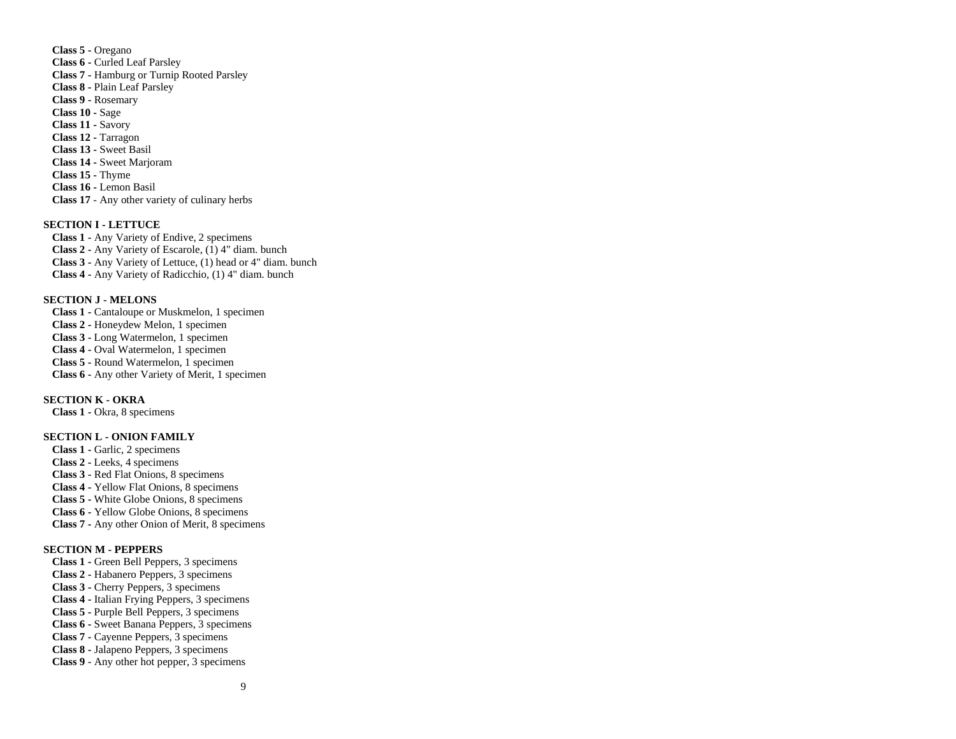**Class 5 -** Oregano **Class 6 -** Curled Leaf Parsley **Class 7 -** Hamburg or Turnip Rooted Parsley **Class 8 -** Plain Leaf Parsley **Class 9 -** Rosemary **Class 10 -** Sage **Class 11 -** Savory **Class 12 -** Tarragon **Class 13 -** Sweet Basil **Class 14 -** Sweet Marjoram **Class 15 -** Thyme **Class 16 -** Lemon Basil **Class 17** - Any other variety of culinary herbs

# **SECTION I - LETTUCE**

**Class 1 -** Any Variety of Endive, 2 specimens **Class 2 -** Any Variety of Escarole, (1) 4" diam. bunch **Class 3 -** Any Variety of Lettuce, (1) head or 4" diam. bunch **Class 4 -** Any Variety of Radicchio, (1) 4" diam. bunch

# **SECTION J - MELONS**

**Class 1 -** Cantaloupe or Muskmelon, 1 specimen **Class 2 -** Honeydew Melon, 1 specimen **Class 3 -** Long Watermelon, 1 specimen **Class 4 -** Oval Watermelon, 1 specimen **Class 5 -** Round Watermelon, 1 specimen **Class 6 -** Any other Variety of Merit, 1 specimen

# **SECTION K - OKRA**

**Class 1 -** Okra, 8 specimens

# **SECTION L - ONION FAMILY**

**Class 1 -** Garlic, 2 specimens **Class 2 -** Leeks, 4 specimens **Class 3 -** Red Flat Onions, 8 specimens **Class 4 -** Yellow Flat Onions, 8 specimens **Class 5 -** White Globe Onions, 8 specimens **Class 6 -** Yellow Globe Onions, 8 specimens **Class 7 -** Any other Onion of Merit, 8 specimens

### **SECTION M - PEPPERS**

**Class 1 -** Green Bell Peppers, 3 specimens **Class 2 -** Habanero Peppers, 3 specimens **Class 3 -** Cherry Peppers, 3 specimens **Class 4 -** Italian Frying Peppers, 3 specimens **Class 5 -** Purple Bell Peppers, 3 specimens **Class 6 -** Sweet Banana Peppers, 3 specimens **Class 7 -** Cayenne Peppers, 3 specimens **Class 8 -** Jalapeno Peppers, 3 specimens **Class 9** - Any other hot pepper, 3 specimens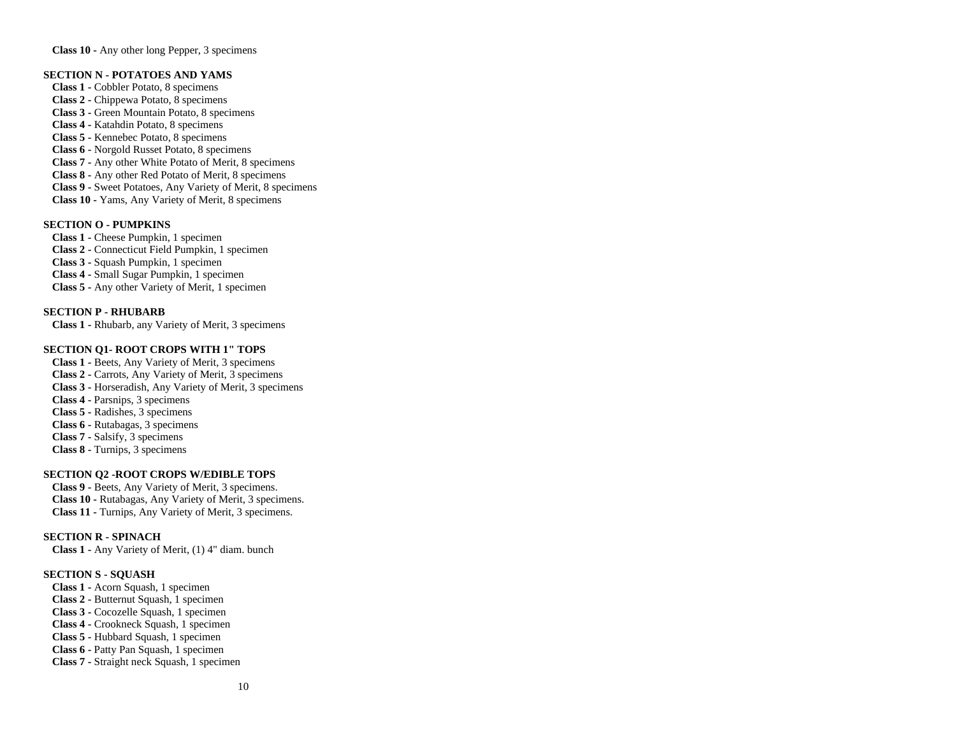**Class 10 -** Any other long Pepper, 3 specimens

### **SECTION N - POTATOES AND YAMS**

**Class 1 -** Cobbler Potato, 8 specimens **Class 2 -** Chippewa Potato, 8 specimens **Class 3 -** Green Mountain Potato, 8 specimens **Class 4 -** Katahdin Potato, 8 specimens **Class 5 -** Kennebec Potato, 8 specimens **Class 6 -** Norgold Russet Potato, 8 specimens **Class 7 -** Any other White Potato of Merit, 8 specimens **Class 8 -** Any other Red Potato of Merit, 8 specimens **Class 9 -** Sweet Potatoes, Any Variety of Merit, 8 specimens **Class 10 -** Yams, Any Variety of Merit, 8 specimens

# **SECTION O - PUMPKINS**

**Class 1 -** Cheese Pumpkin, 1 specimen **Class 2 -** Connecticut Field Pumpkin, 1 specimen **Class 3 -** Squash Pumpkin, 1 specimen **Class 4 -** Small Sugar Pumpkin, 1 specimen **Class 5 -** Any other Variety of Merit, 1 specimen

#### **SECTION P - RHUBARB**

**Class 1 -** Rhubarb, any Variety of Merit, 3 specimens

# **SECTION Q1- ROOT CROPS WITH 1" TOPS**

**Class 1 -** Beets, Any Variety of Merit, 3 specimens **Class 2 -** Carrots, Any Variety of Merit, 3 specimens **Class 3 -** Horseradish, Any Variety of Merit, 3 specimens **Class 4 -** Parsnips, 3 specimens **Class 5 -** Radishes, 3 specimens **Class 6 -** Rutabagas, 3 specimens **Class 7 -** Salsify, 3 specimens **Class 8 -** Turnips, 3 specimens

# **SECTION Q2 -ROOT CROPS W/EDIBLE TOPS**

**Class 9 -** Beets, Any Variety of Merit, 3 specimens. **Class 10 -** Rutabagas, Any Variety of Merit, 3 specimens. **Class 11 -** Turnips, Any Variety of Merit, 3 specimens.

# **SECTION R - SPINACH**

**Class 1 -** Any Variety of Merit, (1) 4" diam. bunch

### **SECTION S - SQUASH**

**Class 1 -** Acorn Squash, 1 specimen **Class 2 -** Butternut Squash, 1 specimen **Class 3 -** Cocozelle Squash, 1 specimen **Class 4 -** Crookneck Squash, 1 specimen **Class 5 -** Hubbard Squash, 1 specimen **Class 6 -** Patty Pan Squash, 1 specimen **Class 7 -** Straight neck Squash, 1 specimen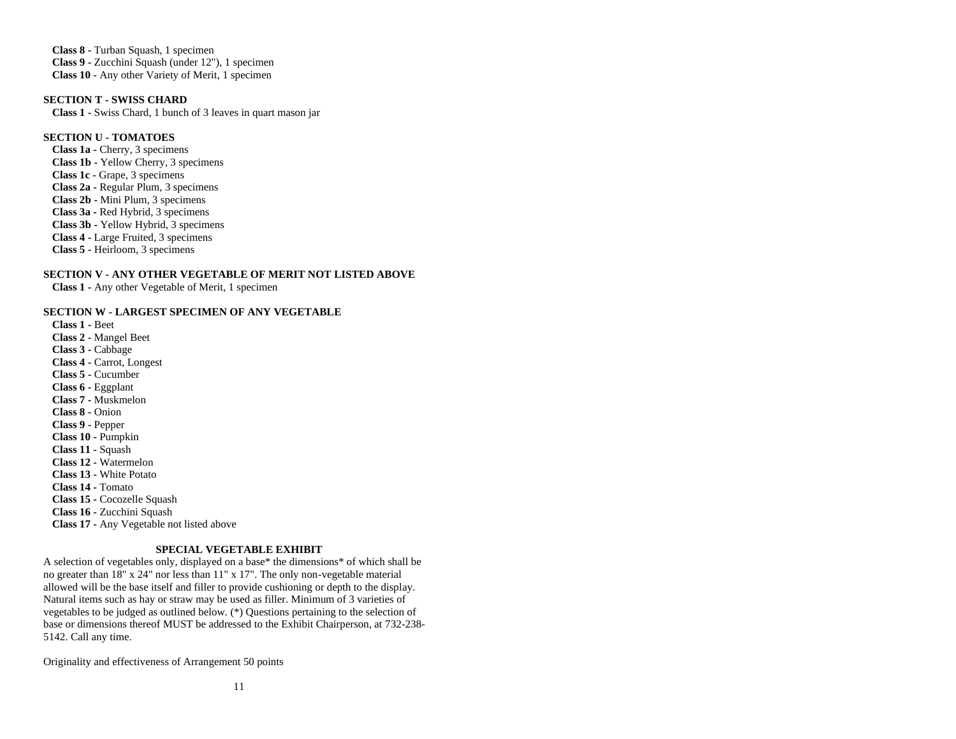**Class 8 -** Turban Squash, 1 specimen **Class 9 -** Zucchini Squash (under 12"), 1 specimen **Class 10 -** Any other Variety of Merit, 1 specimen

**SECTION T - SWISS CHARD Class 1 -** Swiss Chard, 1 bunch of 3 leaves in quart mason jar

# **SECTION U - TOMATOES**

**Class 1a -** Cherry, 3 specimens **Class 1b -** Yellow Cherry, 3 specimens **Class 1c -** Grape, 3 specimens **Class 2a -** Regular Plum, 3 specimens **Class 2b -** Mini Plum, 3 specimens **Class 3a -** Red Hybrid, 3 specimens **Class 3b -** Yellow Hybrid, 3 specimens **Class 4 -** Large Fruited, 3 specimens **Class 5 -** Heirloom, 3 specimens

# **SECTION V - ANY OTHER VEGETABLE OF MERIT NOT LISTED ABOVE**

**Class 1 -** Any other Vegetable of Merit, 1 specimen

#### **SECTION W - LARGEST SPECIMEN OF ANY VEGETABLE**

**Class 1 -** Beet **Class 2 -** Mangel Beet **Class 3 -** Cabbage **Class 4 -** Carrot, Longest **Class 5 -** Cucumber **Class 6 -** Eggplant **Class 7 -** Muskmelon **Class 8 -** Onion **Class 9 -** Pepper **Class 10 -** Pumpkin **Class 11 -** Squash **Class 12 -** Watermelon **Class 13 -** White Potato **Class 14 -** Tomato **Class 15 -** Cocozelle Squash **Class 16 -** Zucchini Squash **Class 17 -** Any Vegetable not listed above

### **SPECIAL VEGETABLE EXHIBIT**

A selection of vegetables only, displayed on a base\* the dimensions\* of which shall be no greater than 18" x 24" nor less than 11" x 17". The only non-vegetable material allowed will be the base itself and filler to provide cushioning or depth to the display. Natural items such as hay or straw may be used as filler. Minimum of 3 varieties of vegetables to be judged as outlined below. (\*) Questions pertaining to the selection of base or dimensions thereof MUST be addressed to the Exhibit Chairperson, at 732-238- 5142. Call any time.

Originality and effectiveness of Arrangement 50 points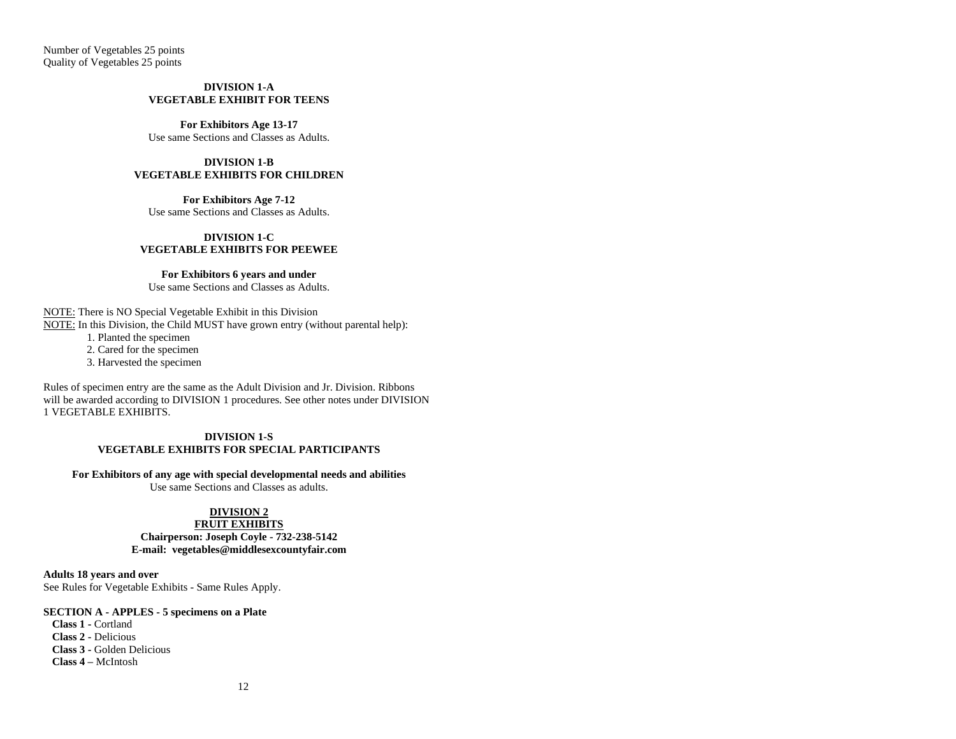Number of Vegetables 25 points Quality of Vegetables 25 points

#### **DIVISION 1-A VEGETABLE EXHIBIT FOR TEENS**

**For Exhibitors Age 13-17** Use same Sections and Classes as Adults.

# **DIVISION 1-B VEGETABLE EXHIBITS FOR CHILDREN**

**For Exhibitors Age 7-12** Use same Sections and Classes as Adults.

#### **DIVISION 1-C VEGETABLE EXHIBITS FOR PEEWEE**

#### **For Exhibitors 6 years and under**

Use same Sections and Classes as Adults.

NOTE: There is NO Special Vegetable Exhibit in this Division NOTE: In this Division, the Child MUST have grown entry (without parental help):

1. Planted the specimen

2. Cared for the specimen

3. Harvested the specimen

Rules of specimen entry are the same as the Adult Division and Jr. Division. Ribbons will be awarded according to DIVISION 1 procedures. See other notes under DIVISION 1 VEGETABLE EXHIBITS.

#### **DIVISION 1-S VEGETABLE EXHIBITS FOR SPECIAL PARTICIPANTS**

#### **For Exhibitors of any age with special developmental needs and abilities**

Use same Sections and Classes as adults.

# **DIVISION 2**

# **FRUIT EXHIBITS**

# **Chairperson: Joseph Coyle - 732-238-5142 E-mail: [vegetables@middlesexcountyfair.com](mailto:vegetables@middlesexcountyfair.com)**

**Adults 18 years and over** See Rules for Vegetable Exhibits - Same Rules Apply.

### **SECTION A - APPLES - 5 specimens on a Plate**

**Class 1 -** Cortland **Class 2 -** Delicious **Class 3 -** Golden Delicious **Class 4 –** McIntosh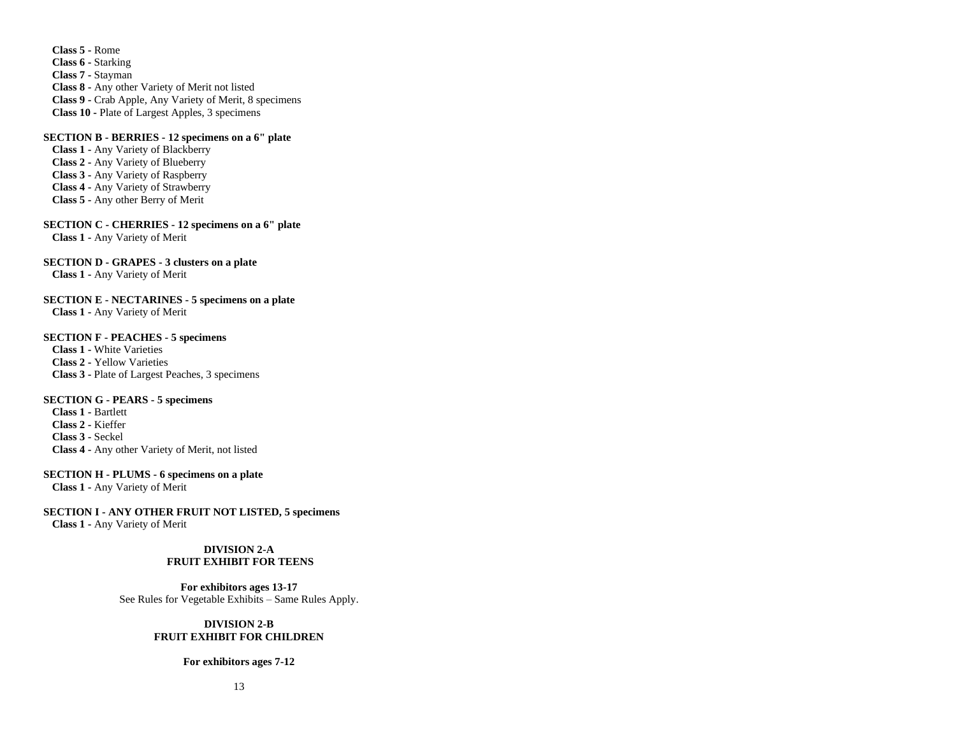**Class 5 -** Rome **Class 6 -** Starking **Class 7 -** Stayman **Class 8 -** Any other Variety of Merit not listed **Class 9 -** Crab Apple, Any Variety of Merit, 8 specimens **Class 10 -** Plate of Largest Apples, 3 specimens

#### **SECTION B - BERRIES - 12 specimens on a 6" plate**

**Class 1 -** Any Variety of Blackberry **Class 2 -** Any Variety of Blueberry **Class 3 -** Any Variety of Raspberry **Class 4 -** Any Variety of Strawberry **Class 5 -** Any other Berry of Merit

**SECTION C - CHERRIES - 12 specimens on a 6" plate Class 1 -** Any Variety of Merit

# **SECTION D - GRAPES - 3 clusters on a plate**

**Class 1 -** Any Variety of Merit

**SECTION E - NECTARINES - 5 specimens on a plate Class 1 -** Any Variety of Merit

# **SECTION F - PEACHES - 5 specimens**

**Class 1 -** White Varieties **Class 2 -** Yellow Varieties **Class 3 -** Plate of Largest Peaches, 3 specimens

# **SECTION G - PEARS - 5 specimens**

**Class 1 -** Bartlett **Class 2 -** Kieffer **Class 3 -** Seckel **Class 4 -** Any other Variety of Merit, not listed

#### **SECTION H - PLUMS - 6 specimens on a plate**

**Class 1 -** Any Variety of Merit

# **SECTION I - ANY OTHER FRUIT NOT LISTED, 5 specimens**

**Class 1 -** Any Variety of Merit

# **DIVISION 2-A FRUIT EXHIBIT FOR TEENS**

**For exhibitors ages 13-17** See Rules for Vegetable Exhibits – Same Rules Apply.

# **DIVISION 2-B FRUIT EXHIBIT FOR CHILDREN**

#### **For exhibitors ages 7-12**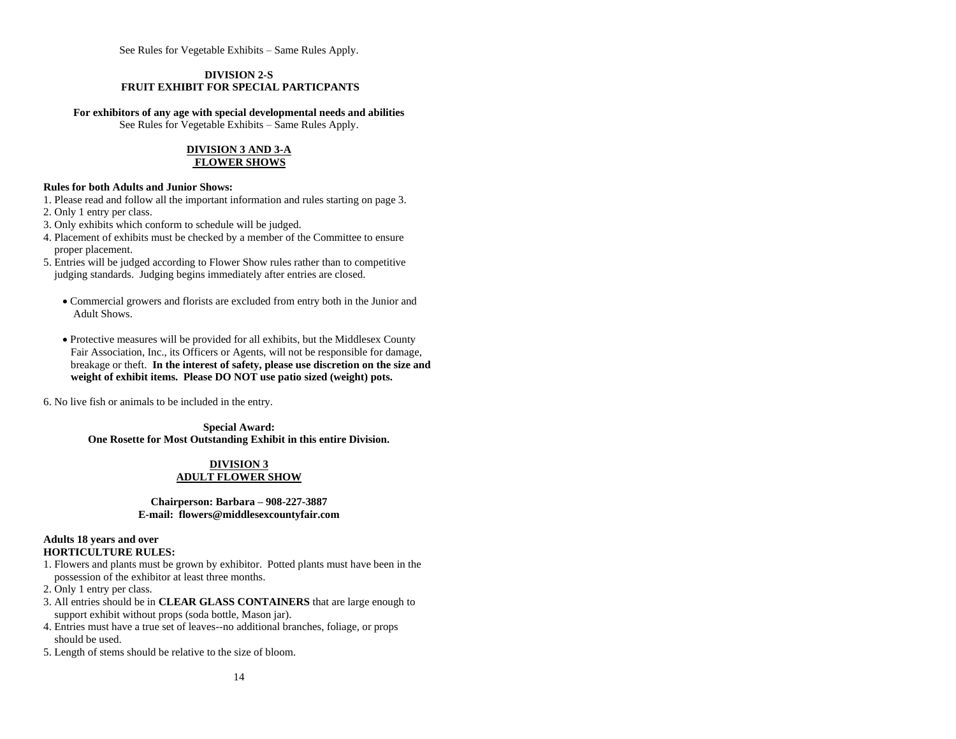See Rules for Vegetable Exhibits – Same Rules Apply.

# **DIVISION 2-S FRUIT EXHIBIT FOR SPECIAL PARTICPANTS**

#### **For exhibitors of any age with special developmental needs and abilities**

See Rules for Vegetable Exhibits – Same Rules Apply.

#### **DIVISION 3 AND 3-A FLOWER SHOWS**

# **Rules for both Adults and Junior Shows:**

- 1. Please read and follow all the important information and rules starting on page 3.
- 2. Only 1 entry per class.
- 3. Only exhibits which conform to schedule will be judged.
- 4. Placement of exhibits must be checked by a member of the Committee to ensure proper placement.
- 5. Entries will be judged according to Flower Show rules rather than to competitive judging standards. Judging begins immediately after entries are closed.
	- Commercial growers and florists are excluded from entry both in the Junior and Adult Shows.
	- Protective measures will be provided for all exhibits, but the Middlesex County Fair Association, Inc., its Officers or Agents, will not be responsible for damage, breakage or theft. **In the interest of safety, please use discretion on the size and weight of exhibit items. Please DO NOT use patio sized (weight) pots.**

6. No live fish or animals to be included in the entry.

**Special Award: One Rosette for Most Outstanding Exhibit in this entire Division.**

# **DIVISION 3**

# **ADULT FLOWER SHOW**

# **Chairperson: Barbara – 908-227-3887 E-mail: [flowers@middlesexcountyfair.com](mailto:flowers@middlesexcountyfair.com)**

# **Adults 18 years and over HORTICULTURE RULES:**

- 1. Flowers and plants must be grown by exhibitor. Potted plants must have been in the possession of the exhibitor at least three months.
- 2. Only 1 entry per class.
- 3. All entries should be in **CLEAR GLASS CONTAINERS** that are large enough to support exhibit without props (soda bottle, Mason jar).
- 4. Entries must have a true set of leaves--no additional branches, foliage, or props should be used.
- 5. Length of stems should be relative to the size of bloom.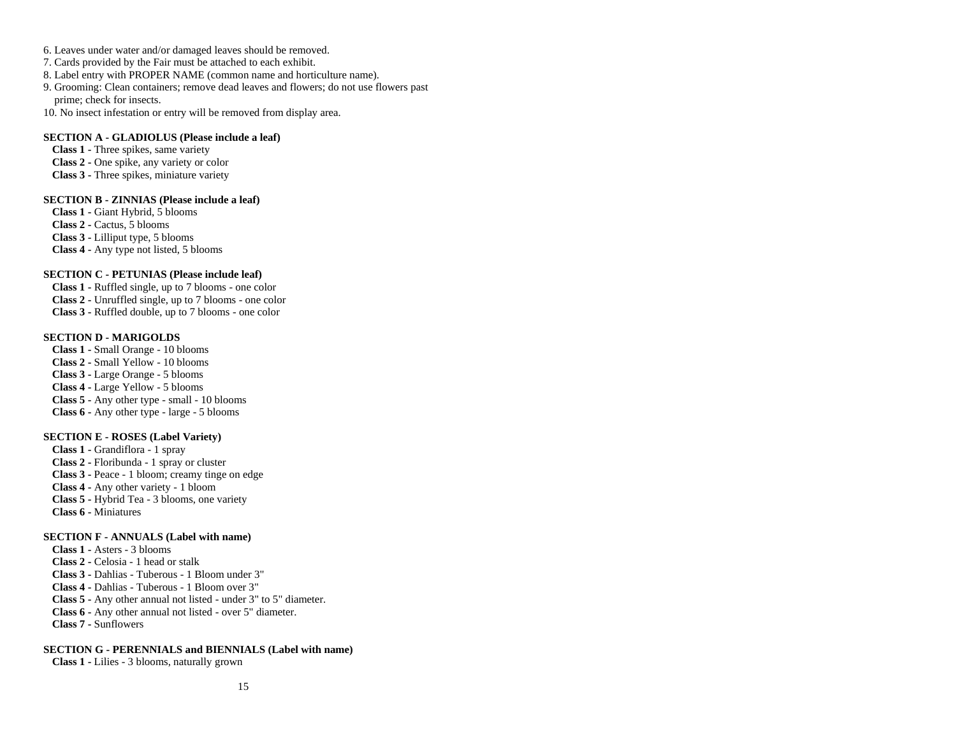- 6. Leaves under water and/or damaged leaves should be removed.
- 7. Cards provided by the Fair must be attached to each exhibit.
- 8. Label entry with PROPER NAME (common name and horticulture name).
- 9. Grooming: Clean containers; remove dead leaves and flowers; do not use flowers past prime; check for insects.
- 10. No insect infestation or entry will be removed from display area.

# **SECTION A - GLADIOLUS (Please include a leaf)**

**Class 1 -** Three spikes, same variety **Class 2 -** One spike, any variety or color **Class 3 -** Three spikes, miniature variety

### **SECTION B - ZINNIAS (Please include a leaf)**

**Class 1 -** Giant Hybrid, 5 blooms **Class 2 -** Cactus, 5 blooms **Class 3 -** Lilliput type, 5 blooms **Class 4 -** Any type not listed, 5 blooms

# **SECTION C - PETUNIAS (Please include leaf)**

**Class 1 -** Ruffled single, up to 7 blooms - one color **Class 2 -** Unruffled single, up to 7 blooms - one color **Class 3 -** Ruffled double, up to 7 blooms - one color

#### **SECTION D - MARIGOLDS**

**Class 1 -** Small Orange - 10 blooms **Class 2 -** Small Yellow - 10 blooms **Class 3 -** Large Orange - 5 blooms **Class 4 -** Large Yellow - 5 blooms **Class 5 -** Any other type - small - 10 blooms **Class 6 -** Any other type - large - 5 blooms

#### **SECTION E - ROSES (Label Variety)**

**Class 1 -** Grandiflora - 1 spray **Class 2 -** Floribunda - 1 spray or cluster **Class 3 -** Peace - 1 bloom; creamy tinge on edge **Class 4 -** Any other variety - 1 bloom **Class 5 -** Hybrid Tea - 3 blooms, one variety **Class 6 -** Miniatures

#### **SECTION F - ANNUALS (Label with name)**

**Class 1 -** Asters - 3 blooms **Class 2 -** Celosia - 1 head or stalk **Class 3 -** Dahlias - Tuberous - 1 Bloom under 3" **Class 4 -** Dahlias - Tuberous - 1 Bloom over 3" **Class 5 -** Any other annual not listed - under 3" to 5" diameter. **Class 6 -** Any other annual not listed - over 5" diameter. **Class 7 -** Sunflowers

#### **SECTION G - PERENNIALS and BIENNIALS (Label with name)**

**Class 1 -** Lilies - 3 blooms, naturally grown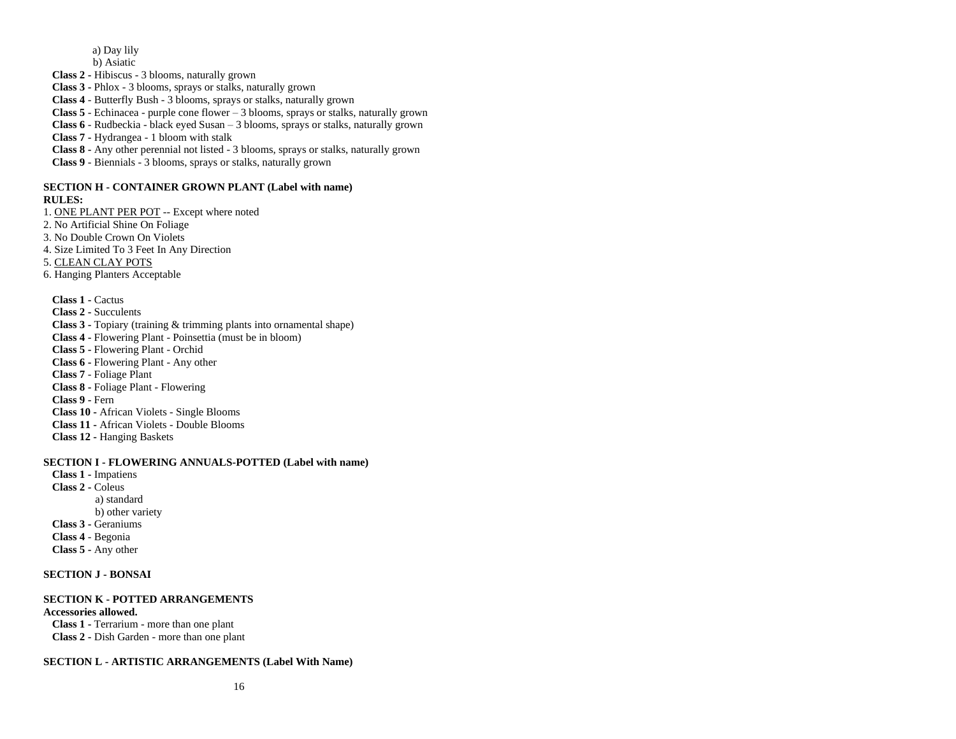a) Day lily

b) Asiatic

**Class 2 -** Hibiscus - 3 blooms, naturally grown

**Class 3 -** Phlox - 3 blooms, sprays or stalks, naturally grown

**Class 4** - Butterfly Bush - 3 blooms, sprays or stalks, naturally grown

**Class 5** - Echinacea - purple cone flower – 3 blooms, sprays or stalks, naturally grown

**Class 6** - Rudbeckia - black eyed Susan – 3 blooms, sprays or stalks, naturally grown

**Class 7 -** Hydrangea - 1 bloom with stalk

**Class 8 -** Any other perennial not listed - 3 blooms, sprays or stalks, naturally grown

**Class 9** - Biennials - 3 blooms, sprays or stalks, naturally grown

#### **SECTION H - CONTAINER GROWN PLANT (Label with name) RULES:**

1. ONE PLANT PER POT -- Except where noted

2. No Artificial Shine On Foliage

3. No Double Crown On Violets

4. Size Limited To 3 Feet In Any Direction

5. CLEAN CLAY POTS

6. Hanging Planters Acceptable

**Class 1 -** Cactus **Class 2 -** Succulents **Class 3 -** Topiary (training & trimming plants into ornamental shape) **Class 4 -** Flowering Plant - Poinsettia (must be in bloom) **Class 5 -** Flowering Plant - Orchid **Class 6 -** Flowering Plant - Any other **Class 7** - Foliage Plant **Class 8 -** Foliage Plant - Flowering **Class 9 -** Fern **Class 10 -** African Violets - Single Blooms **Class 11 -** African Violets - Double Blooms **Class 12 -** Hanging Baskets

**SECTION I - FLOWERING ANNUALS-POTTED (Label with name)**

**Class 1 -** Impatiens **Class 2 -** Coleus a) standard b) other variety **Class 3 -** Geraniums **Class 4** - Begonia **Class 5 -** Any other

# **SECTION J - BONSAI**

# **SECTION K - POTTED ARRANGEMENTS**

**Accessories allowed. Class 1 -** Terrarium - more than one plant **Class 2 -** Dish Garden - more than one plant

**SECTION L - ARTISTIC ARRANGEMENTS (Label With Name)**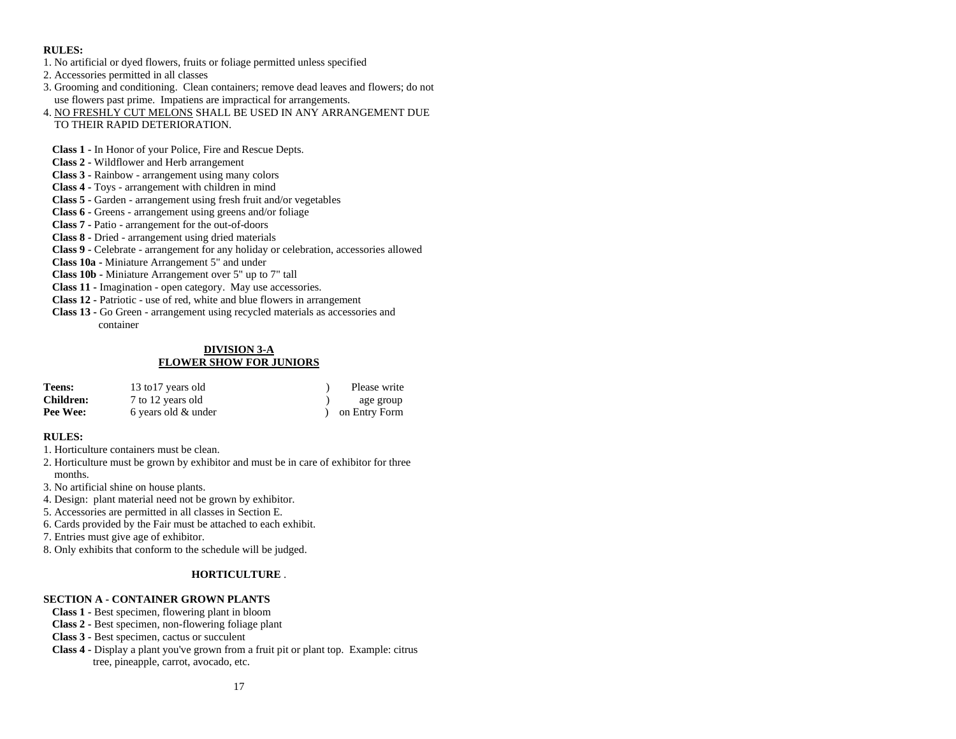# **RULES:**

- 1. No artificial or dyed flowers, fruits or foliage permitted unless specified
- 2. Accessories permitted in all classes
- 3. Grooming and conditioning. Clean containers; remove dead leaves and flowers; do not use flowers past prime. Impatiens are impractical for arrangements.
- 4. NO FRESHLY CUT MELONS SHALL BE USED IN ANY ARRANGEMENT DUE TO THEIR RAPID DETERIORATION.
- **Class 1 -** In Honor of your Police, Fire and Rescue Depts.
- **Class 2 -** Wildflower and Herb arrangement
- **Class 3 -** Rainbow arrangement using many colors
- **Class 4 -** Toys arrangement with children in mind
- **Class 5 -** Garden arrangement using fresh fruit and/or vegetables
- **Class 6 -** Greens arrangement using greens and/or foliage
- **Class 7 -** Patio arrangement for the out-of-doors
- **Class 8 -** Dried arrangement using dried materials
- **Class 9 -** Celebrate arrangement for any holiday or celebration, accessories allowed
- **Class 10a -** Miniature Arrangement 5" and under
- **Class 10b -** Miniature Arrangement over 5" up to 7" tall
- **Class 11 -** Imagination open category. May use accessories.
- **Class 12 -** Patriotic use of red, white and blue flowers in arrangement
- **Class 13 -** Go Green arrangement using recycled materials as accessories and container

# **DIVISION 3-A FLOWER SHOW FOR JUNIORS**

| Teens:           | 13 to 17 years old  | Please write  |
|------------------|---------------------|---------------|
| <b>Children:</b> | 7 to 12 years old   | age group     |
| Pee Wee:         | 6 years old & under | on Entry Form |

# **RULES:**

- 1. Horticulture containers must be clean.
- 2. Horticulture must be grown by exhibitor and must be in care of exhibitor for three months.
- 3. No artificial shine on house plants.
- 4. Design: plant material need not be grown by exhibitor.
- 5. Accessories are permitted in all classes in Section E.
- 6. Cards provided by the Fair must be attached to each exhibit.
- 7. Entries must give age of exhibitor.
- 8. Only exhibits that conform to the schedule will be judged.

# **HORTICULTURE** .

# **SECTION A - CONTAINER GROWN PLANTS**

- **Class 1 -** Best specimen, flowering plant in bloom
- **Class 2 -** Best specimen, non-flowering foliage plant
- **Class 3 -** Best specimen, cactus or succulent
- **Class 4 -** Display a plant you've grown from a fruit pit or plant top. Example: citrus tree, pineapple, carrot, avocado, etc.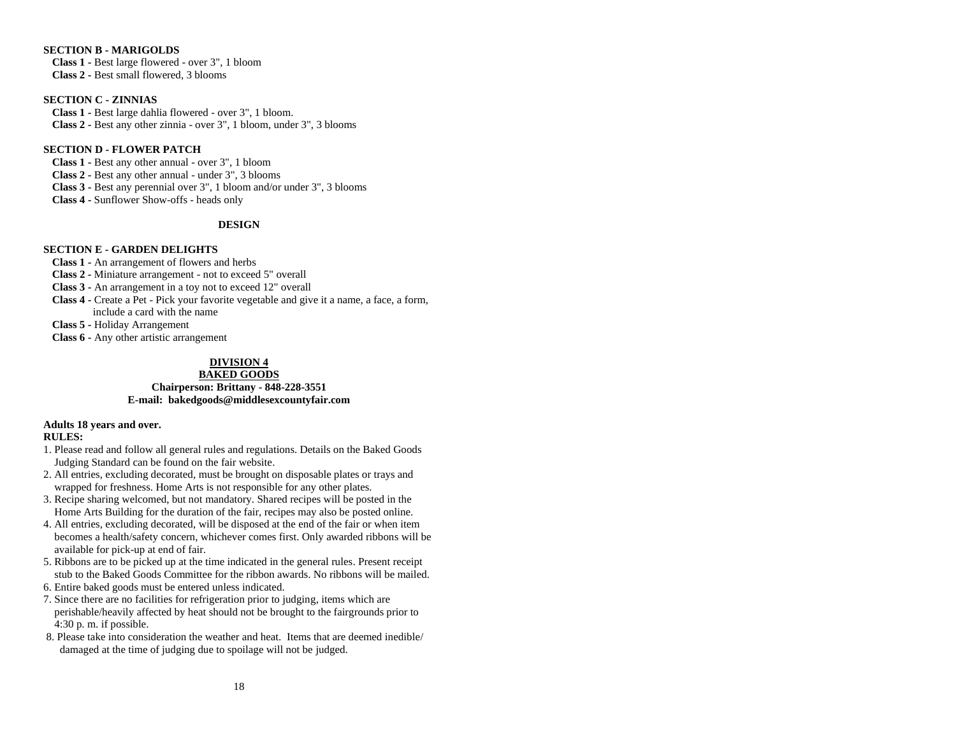# **SECTION B - MARIGOLDS**

**Class 1 -** Best large flowered - over 3", 1 bloom **Class 2 -** Best small flowered, 3 blooms

# **SECTION C - ZINNIAS**

**Class 1 -** Best large dahlia flowered - over 3", 1 bloom. **Class 2 -** Best any other zinnia - over 3", 1 bloom, under 3", 3 blooms

# **SECTION D - FLOWER PATCH**

**Class 1 -** Best any other annual - over 3", 1 bloom **Class 2 -** Best any other annual - under 3", 3 blooms **Class 3 -** Best any perennial over 3", 1 bloom and/or under 3", 3 blooms **Class 4 -** Sunflower Show-offs - heads only

# **DESIGN**

# **SECTION E - GARDEN DELIGHTS**

**Class 1 -** An arrangement of flowers and herbs

**Class 2 -** Miniature arrangement - not to exceed 5" overall

**Class 3 -** An arrangement in a toy not to exceed 12" overall

**Class 4 -** Create a Pet - Pick your favorite vegetable and give it a name, a face, a form, include a card with the name

**Class 5 -** Holiday Arrangement

**Class 6 -** Any other artistic arrangement

# **DIVISION 4**

# **BAKED GOODS**

**Chairperson: Brittany - 848-228-3551 E-mail: [bakedgoods@middlesexcountyfair.com](mailto:bakedgoods@middlesexcountyfair.com)**

# **Adults 18 years and over.**

# **RULES:**

1. Please read and follow all general rules and regulations. Details on the Baked Goods Judging Standard can be found on the fair website.

- 2. All entries, excluding decorated, must be brought on disposable plates or trays and wrapped for freshness. Home Arts is not responsible for any other plates.
- 3. Recipe sharing welcomed, but not mandatory. Shared recipes will be posted in the Home Arts Building for the duration of the fair, recipes may also be posted online.
- 4. All entries, excluding decorated, will be disposed at the end of the fair or when item becomes a health/safety concern, whichever comes first. Only awarded ribbons will be available for pick-up at end of fair.
- 5. Ribbons are to be picked up at the time indicated in the general rules. Present receipt stub to the Baked Goods Committee for the ribbon awards. No ribbons will be mailed.
- 6. Entire baked goods must be entered unless indicated.
- 7. Since there are no facilities for refrigeration prior to judging, items which are perishable/heavily affected by heat should not be brought to the fairgrounds prior to 4:30 p. m. if possible.
- 8. Please take into consideration the weather and heat. Items that are deemed inedible/ damaged at the time of judging due to spoilage will not be judged.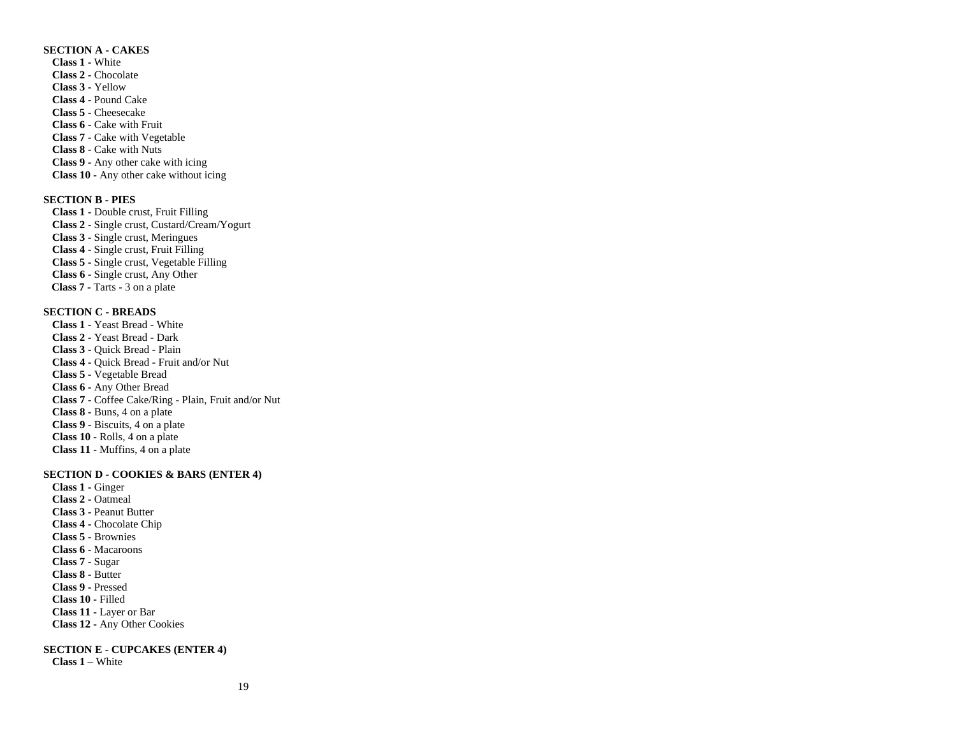#### **SECTION A - CAKES**

**Class 1 -** White **Class 2 -** Chocolate **Class 3 -** Yellow **Class 4 -** Pound Cake **Class 5 -** Cheesecake **Class 6 -** Cake with Fruit **Class 7** - Cake with Vegetable **Class 8** - Cake with Nuts **Class 9 -** Any other cake with icing **Class 10 -** Any other cake without icing

# **SECTION B - PIES**

**Class 1 -** Double crust, Fruit Filling **Class 2 -** Single crust, Custard/Cream/Yogurt **Class 3 -** Single crust, Meringues **Class 4 -** Single crust, Fruit Filling **Class 5 -** Single crust, Vegetable Filling **Class 6 -** Single crust, Any Other  **Class 7 -** Tarts - 3 on a plate

# **SECTION C - BREADS**

**Class 1 -** Yeast Bread - White **Class 2 -** Yeast Bread - Dark **Class 3 -** Quick Bread - Plain **Class 4 -** Quick Bread - Fruit and/or Nut **Class 5 -** Vegetable Bread **Class 6 -** Any Other Bread **Class 7 -** Coffee Cake/Ring - Plain, Fruit and/or Nut **Class 8 -** Buns, 4 on a plate **Class 9 -** Biscuits, 4 on a plate **Class 10 -** Rolls, 4 on a plate **Class 11 -** Muffins, 4 on a plate

#### **SECTION D - COOKIES & BARS (ENTER 4)**

**Class 1 -** Ginger **Class 2 -** Oatmeal **Class 3 -** Peanut Butter **Class 4 -** Chocolate Chip **Class 5 -** Brownies **Class 6 -** Macaroons **Class 7 -** Sugar **Class 8 -** Butter **Class 9 -** Pressed **Class 10 -** Filled **Class 11 -** Layer or Bar **Class 12 -** Any Other Cookies

# **SECTION E - CUPCAKES (ENTER 4)**

**Class 1 –** White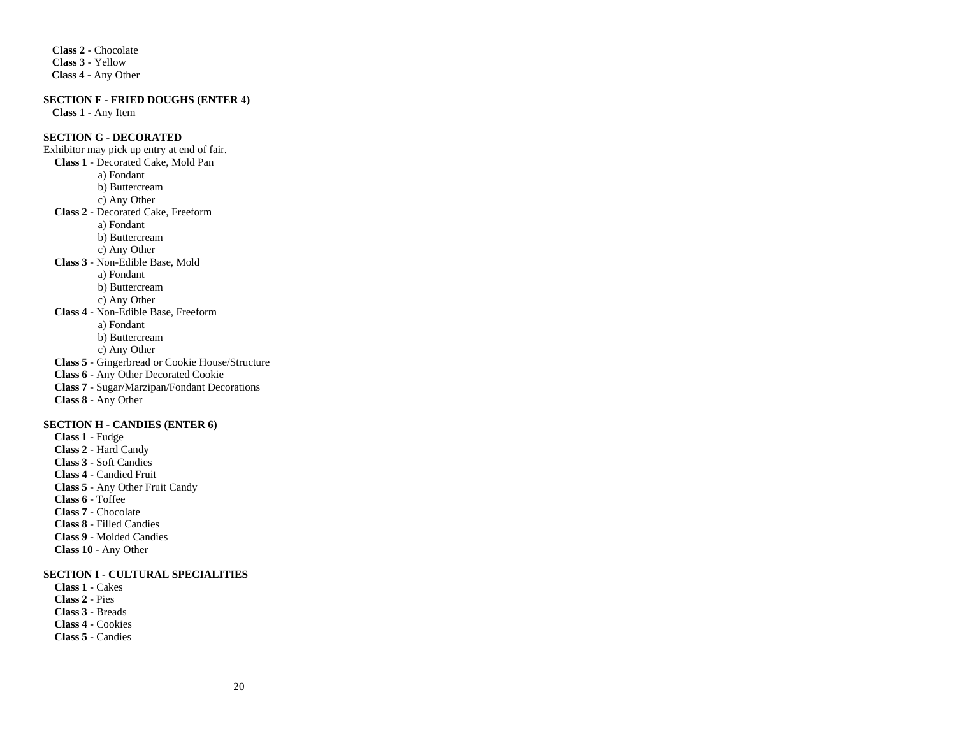**Class 2 -** Chocolate **Class 3 -** Yellow  **Class 4 -** Any Other

**SECTION F - FRIED DOUGHS (ENTER 4)**

**Class 1 -** Any Item

# **SECTION G - DECORATED**

Exhibitor may pick up entry at end of fair. **Class 1** - Decorated Cake, Mold Pan a) Fondant b) Buttercream c) Any Other  **Class 2** - Decorated Cake, Freeform a) Fondant b) Buttercream c) Any Other **Class 3** - Non-Edible Base, Mold a) Fondant b) Buttercream c) Any Other **Class 4** - Non-Edible Base, Freeform a) Fondant b) Buttercream c) Any Other **Class 5** - Gingerbread or Cookie House/Structure **Class 6** - Any Other Decorated Cookie **Class 7** - Sugar/Marzipan/Fondant Decorations **Class 8 -** Any Other **SECTION H - CANDIES (ENTER 6)**

 **Class 1** - Fudge **Class 2** - Hard Candy **Class 3** - Soft Candies **Class 4** - Candied Fruit  **Class 5** - Any Other Fruit Candy  **Class 6** - Toffee **Class 7** - Chocolate **Class 8** - Filled Candies **Class 9** - Molded Candies  **Class 10** - Any Other

# **SECTION I - CULTURAL SPECIALITIES**

 **Class 1 -** Cakes  **Class 2** - Pies **Class 3 -** Breads **Class 4 -** Cookies **Class 5** - Candies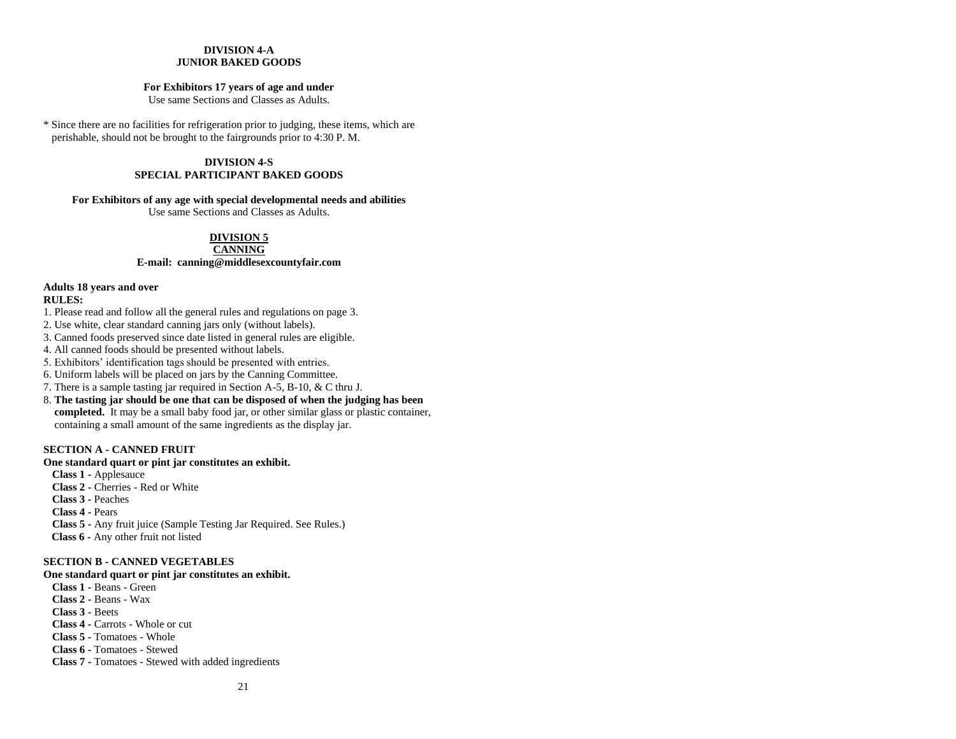### **DIVISION 4-A JUNIOR BAKED GOODS**

#### **For Exhibitors 17 years of age and under**

Use same Sections and Classes as Adults.

\* Since there are no facilities for refrigeration prior to judging, these items, which are perishable, should not be brought to the fairgrounds prior to 4:30 P. M.

# **DIVISION 4-S SPECIAL PARTICIPANT BAKED GOODS**

#### **For Exhibitors of any age with special developmental needs and abilities**

Use same Sections and Classes as Adults.

### **DIVISION 5**

# **CANNING**

# **E-mail: [canning@middlesexcountyfair.com](mailto:canning@middlesexcountyfair.com)**

# **Adults 18 years and over**

# **RULES:**

1. Please read and follow all the general rules and regulations on page 3.

2. Use white, clear standard canning jars only (without labels).

- 3. Canned foods preserved since date listed in general rules are eligible.
- 4. All canned foods should be presented without labels.
- 5. Exhibitors' identification tags should be presented with entries.
- 6. Uniform labels will be placed on jars by the Canning Committee.
- 7. There is a sample tasting jar required in Section A-5, B-10, & C thru J.
- 8. **The tasting jar should be one that can be disposed of when the judging has been completed.** It may be a small baby food jar, or other similar glass or plastic container, containing a small amount of the same ingredients as the display jar.

# **SECTION A - CANNED FRUIT**

#### **One standard quart or pint jar constitutes an exhibit.**

- **Class 1 -** Applesauce
- **Class 2 -** Cherries Red or White
- **Class 3 -** Peaches

**Class 4 -** Pears

**Class 5 -** Any fruit juice (Sample Testing Jar Required. See Rules.) **Class 6 -** Any other fruit not listed

#### **SECTION B - CANNED VEGETABLES**

### **One standard quart or pint jar constitutes an exhibit.**

**Class 1 -** Beans - Green **Class 2 -** Beans - Wax **Class 3 -** Beets **Class 4 -** Carrots - Whole or cut **Class 5 -** Tomatoes - Whole **Class 6 -** Tomatoes - Stewed **Class 7 -** Tomatoes - Stewed with added ingredients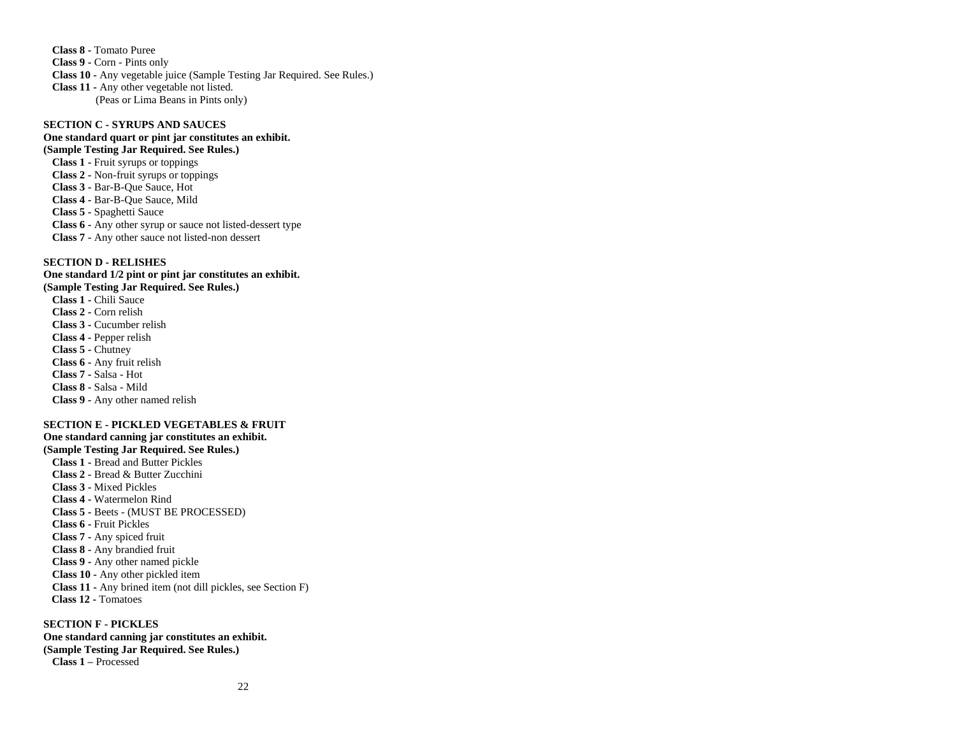**Class 8 -** Tomato Puree **Class 9 -** Corn - Pints only **Class 10 -** Any vegetable juice (Sample Testing Jar Required. See Rules.) **Class 11 -** Any other vegetable not listed. (Peas or Lima Beans in Pints only)

# **SECTION C - SYRUPS AND SAUCES**

# **One standard quart or pint jar constitutes an exhibit.**

**(Sample Testing Jar Required. See Rules.) Class 1 -** Fruit syrups or toppings **Class 2 -** Non-fruit syrups or toppings **Class 3 -** Bar-B-Que Sauce, Hot **Class 4 -** Bar-B-Que Sauce, Mild **Class 5 -** Spaghetti Sauce **Class 6 -** Any other syrup or sauce not listed-dessert type **Class 7 -** Any other sauce not listed-non dessert

#### **SECTION D - RELISHES**

**One standard 1/2 pint or pint jar constitutes an exhibit. (Sample Testing Jar Required. See Rules.) Class 1 -** Chili Sauce **Class 2 -** Corn relish **Class 3 -** Cucumber relish **Class 4 -** Pepper relish **Class 5 -** Chutney **Class 6 -** Any fruit relish **Class 7 -** Salsa - Hot **Class 8 -** Salsa - Mild **Class 9 -** Any other named relish

#### **SECTION E - PICKLED VEGETABLES & FRUIT**

**One standard canning jar constitutes an exhibit. (Sample Testing Jar Required. See Rules.) Class 1 -** Bread and Butter Pickles **Class 2 -** Bread & Butter Zucchini **Class 3 -** Mixed Pickles **Class 4 -** Watermelon Rind **Class 5 -** Beets - (MUST BE PROCESSED) **Class 6 -** Fruit Pickles **Class 7 -** Any spiced fruit **Class 8 -** Any brandied fruit **Class 9 -** Any other named pickle **Class 10 -** Any other pickled item **Class 11 -** Any brined item (not dill pickles, see Section F)  **Class 12 -** Tomatoes

#### **SECTION F - PICKLES One standard canning jar constitutes an exhibit.**

**(Sample Testing Jar Required. See Rules.) Class 1 –** Processed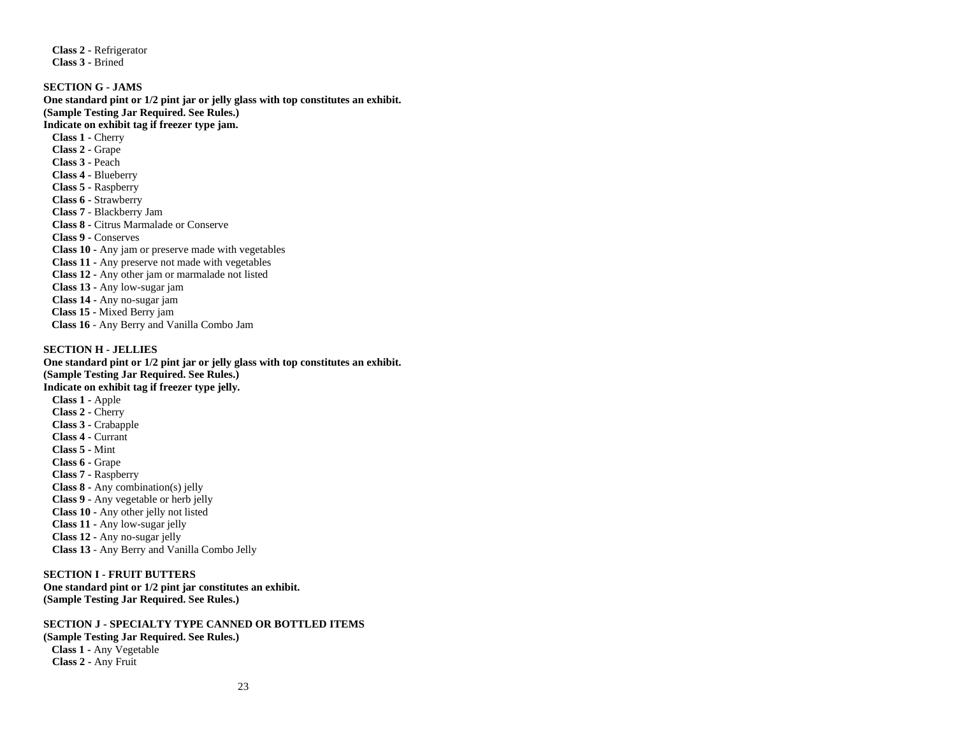**Class 2 -** Refrigerator **Class 3 -** Brined

**SECTION G - JAMS One standard pint or 1/2 pint jar or jelly glass with top constitutes an exhibit. (Sample Testing Jar Required. See Rules.) Indicate on exhibit tag if freezer type jam. Class 1 -** Cherry **Class 2 -** Grape **Class 3 -** Peach **Class 4 -** Blueberry **Class 5 -** Raspberry **Class 6 -** Strawberry **Class 7** - Blackberry Jam **Class 8 -** Citrus Marmalade or Conserve **Class 9 -** Conserves **Class 10 -** Any jam or preserve made with vegetables **Class 11 -** Any preserve not made with vegetables **Class 12 -** Any other jam or marmalade not listed **Class 13 -** Any low-sugar jam **Class 14 -** Any no-sugar jam  **Class 15 -** Mixed Berry jam **Class 16** - Any Berry and Vanilla Combo Jam

#### **SECTION H - JELLIES**

**One standard pint or 1/2 pint jar or jelly glass with top constitutes an exhibit. (Sample Testing Jar Required. See Rules.) Indicate on exhibit tag if freezer type jelly. Class 1 -** Apple **Class 2 -** Cherry

**Class 3 -** Crabapple **Class 4 -** Currant **Class 5 -** Mint **Class 6 -** Grape **Class 7 -** Raspberry **Class 8 -** Any combination(s) jelly **Class 9 -** Any vegetable or herb jelly **Class 10 -** Any other jelly not listed **Class 11 -** Any low-sugar jelly **Class 12 -** Any no-sugar jelly **Class 13** - Any Berry and Vanilla Combo Jelly

# **SECTION I - FRUIT BUTTERS One standard pint or 1/2 pint jar constitutes an exhibit. (Sample Testing Jar Required. See Rules.)**

**SECTION J - SPECIALTY TYPE CANNED OR BOTTLED ITEMS (Sample Testing Jar Required. See Rules.) Class 1 -** Any Vegetable **Class 2 -** Any Fruit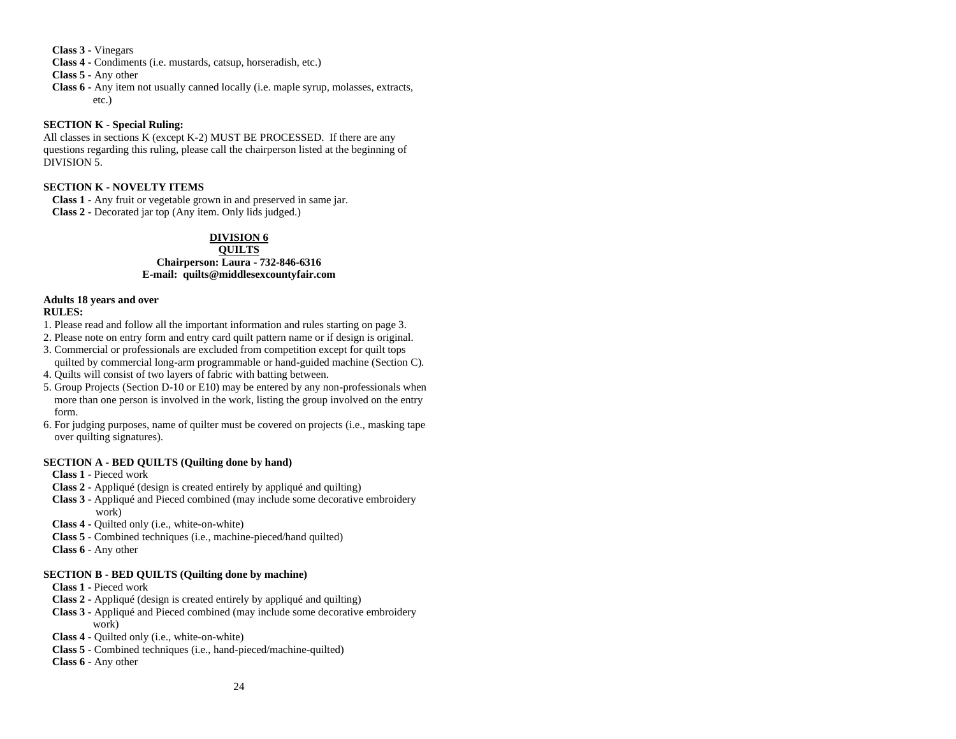**Class 3 -** Vinegars

**Class 4 -** Condiments (i.e. mustards, catsup, horseradish, etc.)

**Class 5 -** Any other

**Class 6 -** Any item not usually canned locally (i.e. maple syrup, molasses, extracts, etc.)

# **SECTION K - Special Ruling:**

All classes in sections K (except K-2) MUST BE PROCESSED. If there are any questions regarding this ruling, please call the chairperson listed at the beginning of DIVISION 5.

# **SECTION K - NOVELTY ITEMS**

**Class 1 -** Any fruit or vegetable grown in and preserved in same jar. **Class 2 -** Decorated jar top (Any item. Only lids judged.)

# **DIVISION 6**

# **QUILTS Chairperson: Laura - 732-846-6316 E-mail: [quilts@middlesexcountyfair.com](mailto:quilts@middlesexcountyfair.com)**

# **Adults 18 years and over**

# **RULES:**

- 1. Please read and follow all the important information and rules starting on page 3.
- 2. Please note on entry form and entry card quilt pattern name or if design is original.
- 3. Commercial or professionals are excluded from competition except for quilt tops quilted by commercial long-arm programmable or hand-guided machine (Section C).
- 4. Quilts will consist of two layers of fabric with batting between.
- 5. Group Projects (Section D-10 or E10) may be entered by any non-professionals when more than one person is involved in the work, listing the group involved on the entry form.
- 6. For judging purposes, name of quilter must be covered on projects (i.e., masking tape over quilting signatures).

# **SECTION A - BED QUILTS (Quilting done by hand)**

# **Class 1** - Pieced work

- **Class 2**  Appliqué (design is created entirely by appliqué and quilting)
- **Class 3**  Appliqué and Pieced combined (may include some decorative embroidery work)
- **Class 4 -** Quilted only (i.e., white-on-white)
- **Class 5**  Combined techniques (i.e., machine-pieced/hand quilted)
- **Class 6**  Any other

# **SECTION B - BED QUILTS (Quilting done by machine)**

- **Class 1 -** Pieced work
- **Class 2 -** Appliqué (design is created entirely by appliqué and quilting)
- **Class 3 -** Appliqué and Pieced combined (may include some decorative embroidery work)
- **Class 4 -** Quilted only (i.e., white-on-white)
- **Class 5 -** Combined techniques (i.e., hand-pieced/machine-quilted)
- **Class 6 -** Any other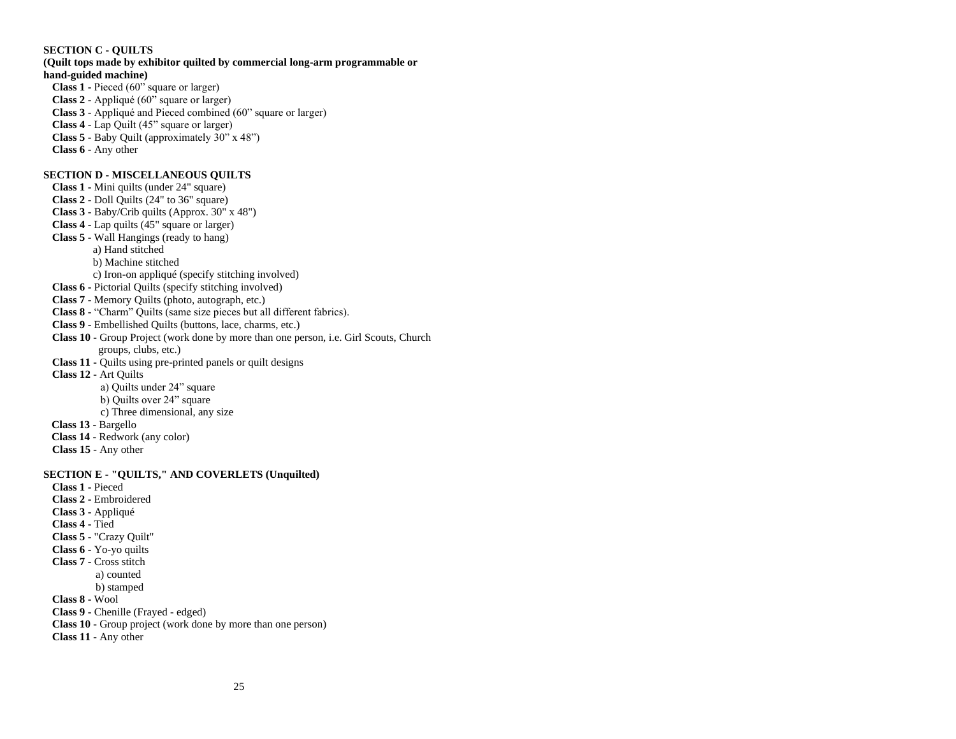# **SECTION C - QUILTS**

# **(Quilt tops made by exhibitor quilted by commercial long-arm programmable or hand-guided machine) Class 1 -** Pieced (60" square or larger)

**Class 2** - Appliqué (60" square or larger) **Class 3** - Appliqué and Pieced combined (60" square or larger) **Class 4** - Lap Quilt (45" square or larger) **Class 5** - Baby Quilt (approximately 30" x 48") **Class 6** - Any other

# **SECTION D - MISCELLANEOUS QUILTS**

**Class 1 -** Mini quilts (under 24" square) **Class 2 -** Doll Quilts (24" to 36" square) **Class 3 -** Baby/Crib quilts (Approx. 30" x 48") **Class 4 -** Lap quilts (45" square or larger) **Class 5 -** Wall Hangings (ready to hang) a) Hand stitched b) Machine stitched c) Iron-on appliqué (specify stitching involved) **Class 6 -** Pictorial Quilts (specify stitching involved) **Class 7 -** Memory Quilts (photo, autograph, etc.) **Class 8 -** "Charm" Quilts (same size pieces but all different fabrics). **Class 9 -** Embellished Quilts (buttons, lace, charms, etc.) **Class 10 -** Group Project (work done by more than one person, i.e. Girl Scouts, Church groups, clubs, etc.) **Class 11 -** Quilts using pre-printed panels or quilt designs **Class 12 -** Art Quilts a) Quilts under 24" square b) Quilts over 24" square c) Three dimensional, any size **Class 13 -** Bargello **Class 14** - Redwork (any color) **Class 15** - Any other **SECTION E - "QUILTS," AND COVERLETS (Unquilted) Class 1 -** Pieced **Class 2 -** Embroidered **Class 3 -** Appliqué **Class 4 -** Tied **Class 5 -** "Crazy Quilt" **Class 6 -** Yo-yo quilts **Class 7 -** Cross stitch a) counted b) stamped **Class 8 -** Wool **Class 9 -** Chenille (Frayed - edged) **Class 10** - Group project (work done by more than one person) **Class 11 -** Any other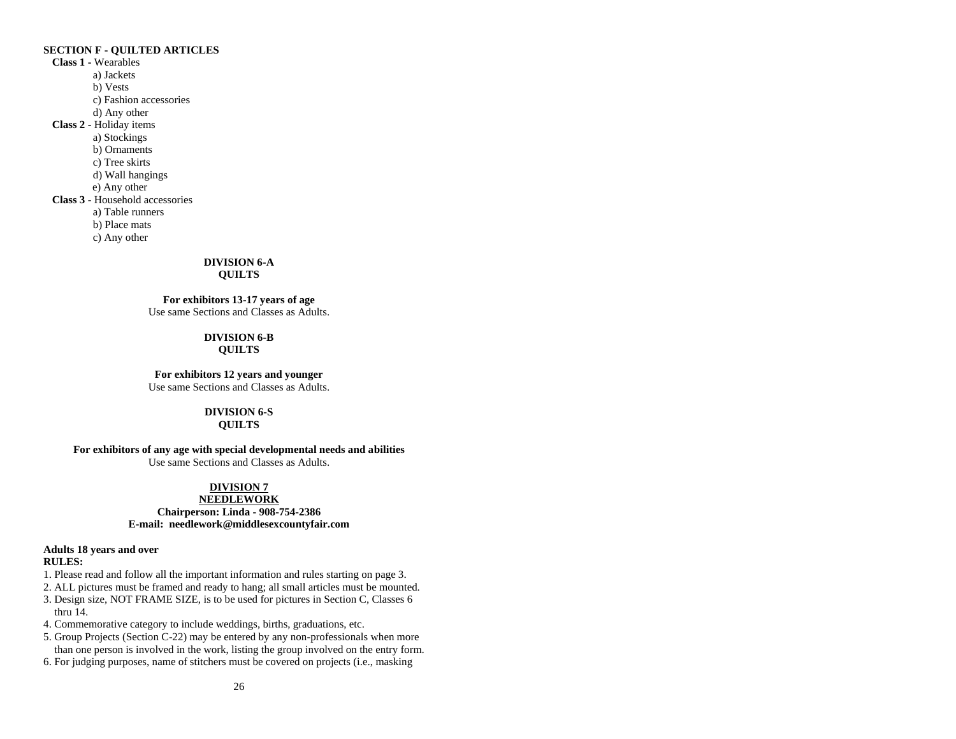# **SECTION F - QUILTED ARTICLES**

**Class 1 -** Wearables a) Jackets b) Vests c) Fashion accessories d) Any other **Class 2 -** Holiday items a) Stockings b) Ornaments c) Tree skirts d) Wall hangings e) Any other **Class 3 -** Household accessories a) Table runners b) Place mats c) Any other

# **DIVISION 6-A**

# **QUILTS**

**For exhibitors 13-17 years of age** Use same Sections and Classes as Adults.

# **DIVISION 6-B QUILTS**

**For exhibitors 12 years and younger** Use same Sections and Classes as Adults.

# **DIVISION 6-S**

# **QUILTS**

# **For exhibitors of any age with special developmental needs and abilities**

Use same Sections and Classes as Adults.

# **DIVISION 7**

# **NEEDLEWORK Chairperson: Linda - 908-754-2386 E-mail: [needlework@middlesexcountyfair.com](mailto:needlework@middlesexcountyfair.com)**

# **Adults 18 years and over**

# **RULES:**

- 1. Please read and follow all the important information and rules starting on page 3.
- 2. ALL pictures must be framed and ready to hang; all small articles must be mounted.
- 3. Design size, NOT FRAME SIZE, is to be used for pictures in Section C, Classes 6 thru 14.
- 4. Commemorative category to include weddings, births, graduations, etc.
- 5. Group Projects (Section C-22) may be entered by any non-professionals when more than one person is involved in the work, listing the group involved on the entry form.
- 6. For judging purposes, name of stitchers must be covered on projects (i.e., masking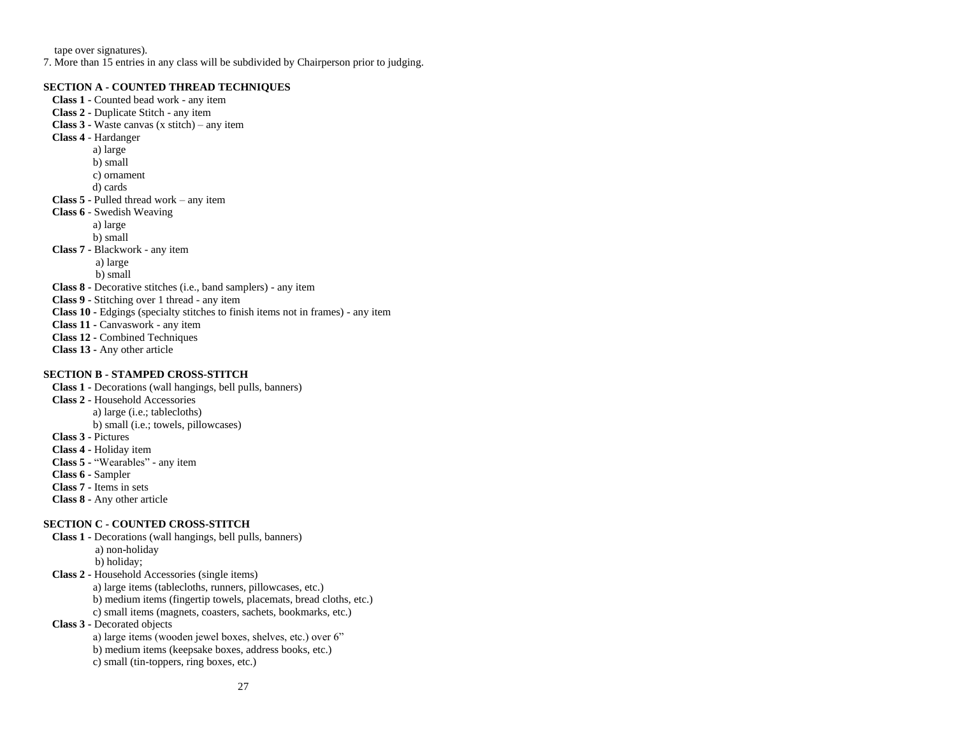tape over signatures).

7. More than 15 entries in any class will be subdivided by Chairperson prior to judging.

### **SECTION A - COUNTED THREAD TECHNIQUES**

**Class 1 -** Counted bead work - any item **Class 2 -** Duplicate Stitch - any item **Class 3 -** Waste canvas (x stitch) – any item **Class 4** - Hardanger a) large b) small c) ornament d) cards **Class 5 -** Pulled thread work – any item **Class 6** - Swedish Weaving a) large b) small **Class 7 -** Blackwork - any item a) large b) small **Class 8 -** Decorative stitches (i.e., band samplers) - any item **Class 9 -** Stitching over 1 thread - any item **Class 10 -** Edgings (specialty stitches to finish items not in frames) - any item **Class 11 -** Canvaswork - any item **Class 12 -** Combined Techniques **Class 13 -** Any other article

# **SECTION B - STAMPED CROSS-STITCH**

**Class 1 -** Decorations (wall hangings, bell pulls, banners) **Class 2 -** Household Accessories a) large (i.e.; tablecloths) b) small (i.e.; towels, pillowcases) **Class 3 -** Pictures **Class 4 -** Holiday item **Class 5 -** "Wearables" - any item **Class 6 -** Sampler **Class 7 -** Items in sets **Class 8 -** Any other article **SECTION C - COUNTED CROSS-STITCH**

# **Class 1 -** Decorations (wall hangings, bell pulls, banners)

 a) non**-**holiday b) holiday;

**Class 2 -** Household Accessories (single items)

a) large items (tablecloths, runners, pillowcases, etc.)

b) medium items (fingertip towels, placemats, bread cloths, etc.)

c) small items (magnets, coasters, sachets, bookmarks, etc.)

**Class 3 -** Decorated objects

a) large items (wooden jewel boxes, shelves, etc.) over 6"

b) medium items (keepsake boxes, address books, etc.)

c) small (tin-toppers, ring boxes, etc.)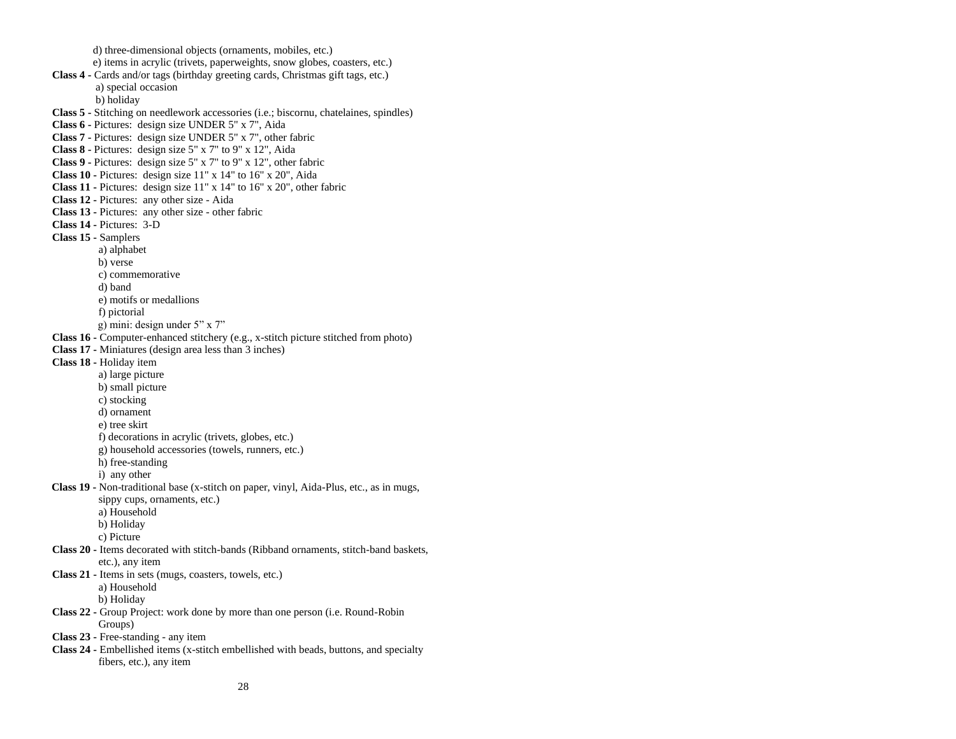d) three-dimensional objects (ornaments, mobiles, etc.) e) items in acrylic (trivets, paperweights, snow globes, coasters, etc.) **Class 4 -** Cards and/or tags (birthday greeting cards, Christmas gift tags, etc.) a) special occasion b) holiday **Class 5 -** Stitching on needlework accessories (i.e.; biscornu, chatelaines, spindles) **Class 6 -** Pictures: design size UNDER 5" x 7", Aida **Class 7 -** Pictures: design size UNDER 5" x 7", other fabric **Class 8 -** Pictures: design size 5" x 7" to 9" x 12", Aida **Class 9 -** Pictures: design size 5" x 7" to 9" x 12", other fabric **Class 10 -** Pictures: design size 11" x 14" to 16" x 20", Aida **Class 11 -** Pictures: design size 11" x 14" to 16" x 20", other fabric **Class 12 -** Pictures: any other size - Aida **Class 13 -** Pictures: any other size - other fabric **Class 14 -** Pictures: 3-D **Class 15 -** Samplers a) alphabet b) verse c) commemorative d) band e) motifs or medallions f) pictorial g) mini: design under 5" x 7" **Class 16 -** Computer-enhanced stitchery (e.g., x-stitch picture stitched from photo) **Class 17 -** Miniatures (design area less than 3 inches) **Class 18 -** Holiday item a) large picture b) small picture c) stocking d) ornament e) tree skirt f) decorations in acrylic (trivets, globes, etc.) g) household accessories (towels, runners, etc.) h) free-standing i) any other  **Class 19 -** Non-traditional base (x-stitch on paper, vinyl, Aida-Plus, etc., as in mugs, sippy cups, ornaments, etc.) a) Household b) Holiday c) Picture **Class 20 -** Items decorated with stitch-bands (Ribband ornaments, stitch-band baskets, etc.), any item **Class 21 -** Items in sets (mugs, coasters, towels, etc.) a) Household b) Holiday **Class 22 -** Group Project: work done by more than one person (i.e. Round-Robin Groups) **Class 23 -** Free-standing - any item **Class 24 -** Embellished items (x-stitch embellished with beads, buttons, and specialty fibers, etc.), any item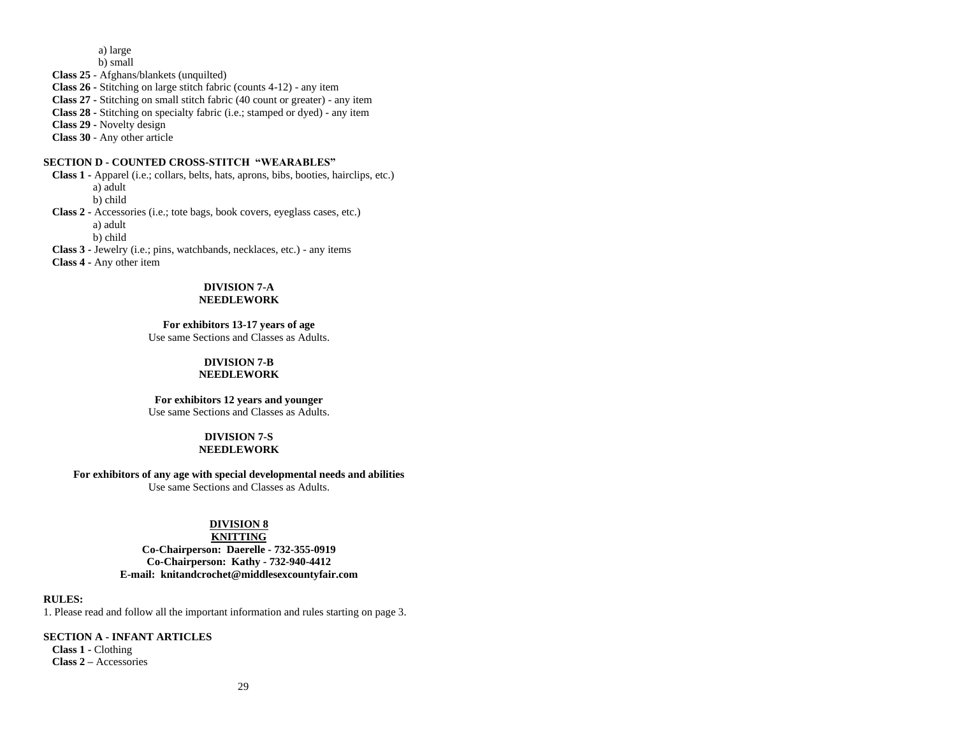a) large

b) small

**Class 25** - Afghans/blankets (unquilted)

**Class 26 -** Stitching on large stitch fabric (counts 4-12) - any item

**Class 27 -** Stitching on small stitch fabric (40 count or greater) - any item

**Class 28 -** Stitching on specialty fabric (i.e.; stamped or dyed) - any item

**Class 29 -** Novelty design

**Class 30** - Any other article

# **SECTION D - COUNTED CROSS-STITCH "WEARABLES"**

**Class 1 -** Apparel (i.e.; collars, belts, hats, aprons, bibs, booties, hairclips, etc.) a) adult b) child

**Class 2 -** Accessories (i.e.; tote bags, book covers, eyeglass cases, etc.) a) adult b) child

**Class 3 -** Jewelry (i.e.; pins, watchbands, necklaces, etc.) - any items

**Class 4 -** Any other item

# **DIVISION 7-A**

# **NEEDLEWORK**

**For exhibitors 13-17 years of age**

Use same Sections and Classes as Adults.

# **DIVISION 7-B**

**NEEDLEWORK**

**For exhibitors 12 years and younger**

Use same Sections and Classes as Adults.

#### **DIVISION 7-S NEEDLEWORK**

**For exhibitors of any age with special developmental needs and abilities**

Use same Sections and Classes as Adults.

# **DIVISION 8**

**KNITTING Co-Chairperson: Daerelle - 732-355-0919 Co-Chairperson: Kathy - 732-940-4412 E-mail: [knitandcrochet@middlesexcountyfair.com](mailto:knitandcrochet@middlesexcountyfair.com)**

# **RULES:**

1. Please read and follow all the important information and rules starting on page 3.

# **SECTION A - INFANT ARTICLES**

**Class 1 -** Clothing **Class 2 –** Accessories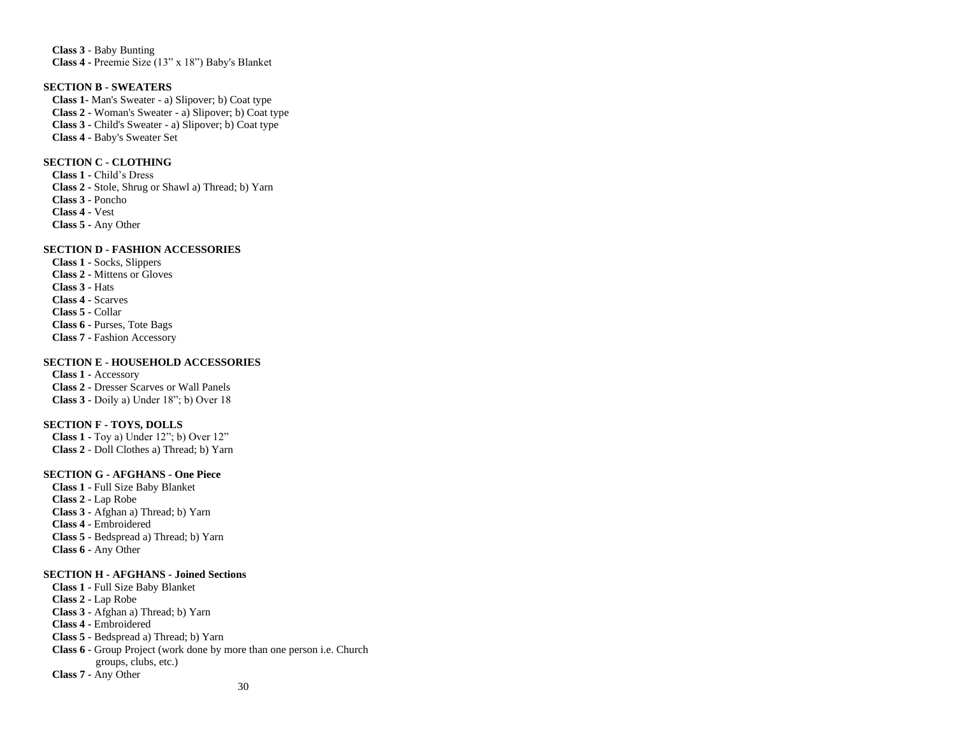**Class 3** - Baby Bunting **Class 4 -** Preemie Size (13" x 18") Baby's Blanket

### **SECTION B - SWEATERS**

**Class 1-** Man's Sweater - a) Slipover; b) Coat type **Class 2 -** Woman's Sweater - a) Slipover; b) Coat type **Class 3 -** Child's Sweater - a) Slipover; b) Coat type **Class 4 -** Baby's Sweater Set

# **SECTION C - CLOTHING**

**Class 1 -** Child's Dress **Class 2 -** Stole, Shrug or Shawl a) Thread; b) Yarn **Class 3 -** Poncho **Class 4 -** Vest **Class 5 -** Any Other

# **SECTION D - FASHION ACCESSORIES**

**Class 1 -** Socks, Slippers **Class 2 -** Mittens or Gloves **Class 3 -** Hats **Class 4 -** Scarves **Class 5 -** Collar **Class 6 -** Purses, Tote Bags **Class 7 -** Fashion Accessory

#### **SECTION E - HOUSEHOLD ACCESSORIES**

**Class 1 -** Accessory **Class 2 -** Dresser Scarves or Wall Panels **Class 3 -** Doily a) Under 18"; b) Over 18

#### **SECTION F - TOYS, DOLLS**

**Class 1 -** Toy a) Under 12"; b) Over 12" **Class 2** - Doll Clothes a) Thread; b) Yarn

# **SECTION G - AFGHANS - One Piece**

**Class 1 -** Full Size Baby Blanket **Class 2 -** Lap Robe **Class 3 -** Afghan a) Thread; b) Yarn **Class 4 -** Embroidered **Class 5 -** Bedspread a) Thread; b) Yarn **Class 6 -** Any Other

### **SECTION H - AFGHANS - Joined Sections**

**Class 1 -** Full Size Baby Blanket **Class 2 -** Lap Robe **Class 3 -** Afghan a) Thread; b) Yarn **Class 4 -** Embroidered **Class 5 -** Bedspread a) Thread; b) Yarn **Class 6 -** Group Project (work done by more than one person i.e. Church groups, clubs, etc.) **Class 7 -** Any Other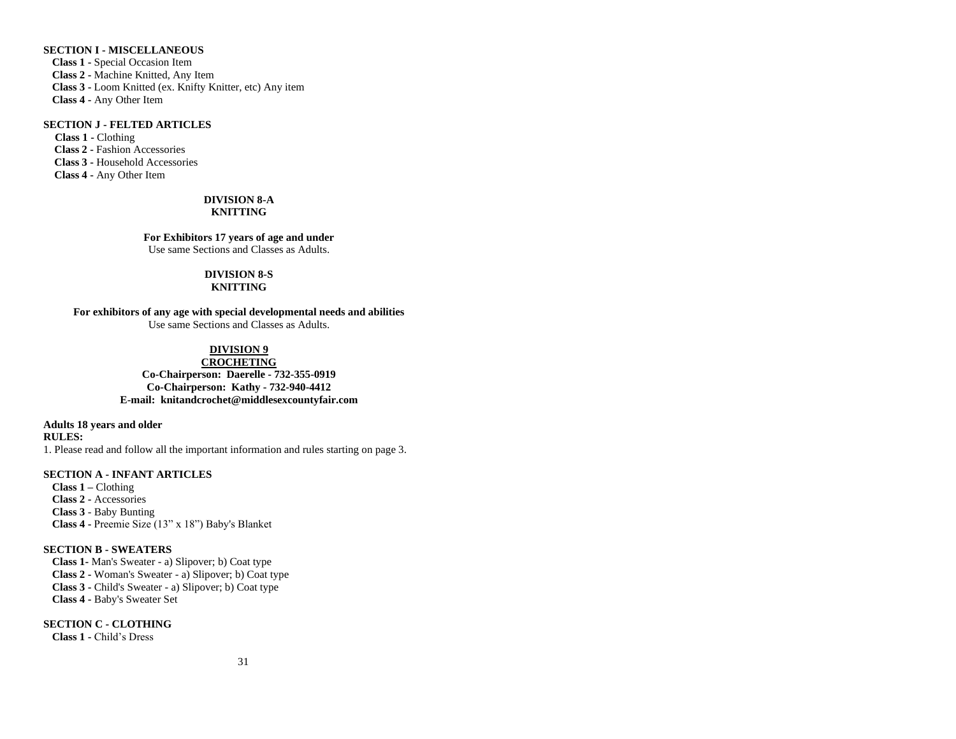# **SECTION I - MISCELLANEOUS**

**Class 1 -** Special Occasion Item **Class 2 -** Machine Knitted, Any Item **Class 3 -** Loom Knitted (ex. Knifty Knitter, etc) Any item **Class 4 -** Any Other Item

#### **SECTION J - FELTED ARTICLES**

**Class 1 -** Clothing  **Class 2 -** Fashion Accessories  **Class 3 -** Household Accessories **Class 4 -** Any Other Item

#### **DIVISION 8-A KNITTING**

**For Exhibitors 17 years of age and under** Use same Sections and Classes as Adults.

### **DIVISION 8-S**

### **KNITTING**

**For exhibitors of any age with special developmental needs and abilities** Use same Sections and Classes as Adults.

# **DIVISION 9**

**CROCHETING Co-Chairperson: Daerelle - 732-355-0919 Co-Chairperson: Kathy - 732-940-4412 E-mail: [knitandcrochet@middlesexcountyfair.com](mailto:knitandcrochet@middlesexcountyfair.com)**

**Adults 18 years and older**

**RULES:**

1. Please read and follow all the important information and rules starting on page 3.

# **SECTION A - INFANT ARTICLES**

**Class 1 –** Clothing **Class 2 -** Accessories **Class 3** - Baby Bunting **Class 4 -** Preemie Size (13" x 18") Baby's Blanket

# **SECTION B - SWEATERS**

**Class 1-** Man's Sweater - a) Slipover; b) Coat type **Class 2 -** Woman's Sweater - a) Slipover; b) Coat type **Class 3 -** Child's Sweater - a) Slipover; b) Coat type **Class 4 -** Baby's Sweater Set

**SECTION C - CLOTHING Class 1 -** Child's Dress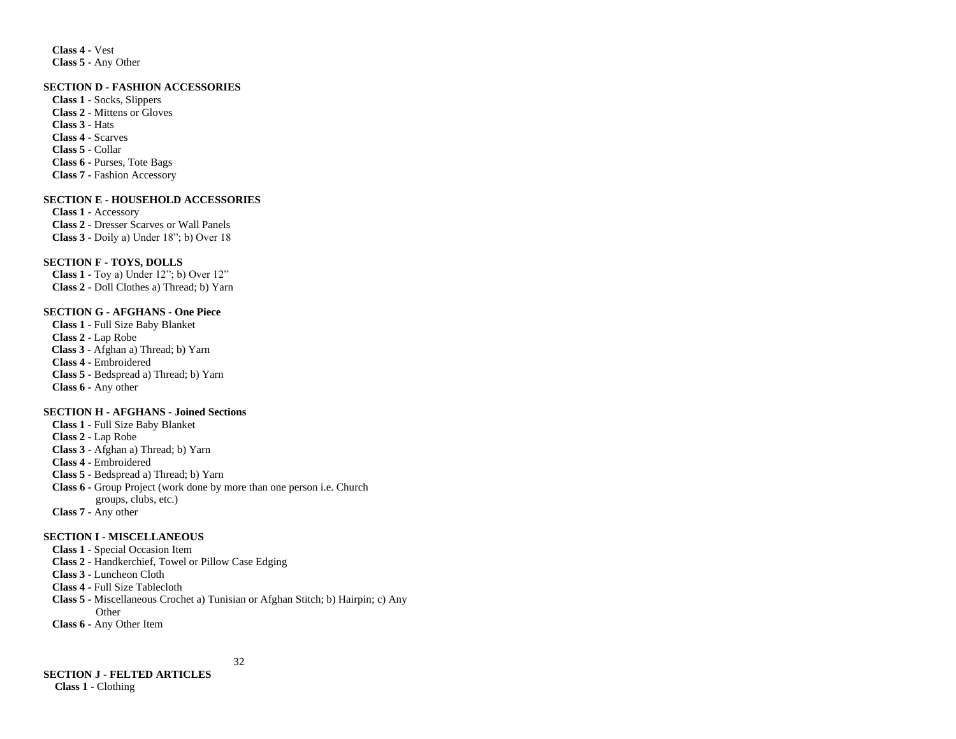**Class 4 -** Vest **Class 5** - Any Other

#### **SECTION D - FASHION ACCESSORIES**

**Class 1 -** Socks, Slippers **Class 2 -** Mittens or Gloves **Class 3 -** Hats **Class 4 -** Scarves **Class 5 -** Collar **Class 6 -** Purses, Tote Bags **Class 7 -** Fashion Accessory

#### **SECTION E - HOUSEHOLD ACCESSORIES**

**Class 1 -** Accessory **Class 2 -** Dresser Scarves or Wall Panels **Class 3 -** Doily a) Under 18"; b) Over 18

# **SECTION F - TOYS, DOLLS**

**Class 1 -** Toy a) Under 12"; b) Over 12" **Class 2** - Doll Clothes a) Thread; b) Yarn

# **SECTION G - AFGHANS - One Piece**

**Class 1 -** Full Size Baby Blanket **Class 2 -** Lap Robe **Class 3 -** Afghan a) Thread; b) Yarn **Class 4 -** Embroidered **Class 5 -** Bedspread a) Thread; b) Yarn **Class 6 -** Any other

# **SECTION H - AFGHANS - Joined Sections**

**Class 1 -** Full Size Baby Blanket **Class 2 -** Lap Robe **Class 3 -** Afghan a) Thread; b) Yarn **Class 4 -** Embroidered **Class 5 -** Bedspread a) Thread; b) Yarn **Class 6 -** Group Project (work done by more than one person i.e. Church groups, clubs, etc.) **Class 7 -** Any other

#### **SECTION I - MISCELLANEOUS**

**Class 1 -** Special Occasion Item

**Class 2 -** Handkerchief, Towel or Pillow Case Edging

**Class 3 -** Luncheon Cloth

**Class 4 -** Full Size Tablecloth

**Class 5 -** Miscellaneous Crochet a) Tunisian or Afghan Stitch; b) Hairpin; c) Any Other

**Class 6 -** Any Other Item

# 32

**SECTION J - FELTED ARTICLES Class 1 -** Clothing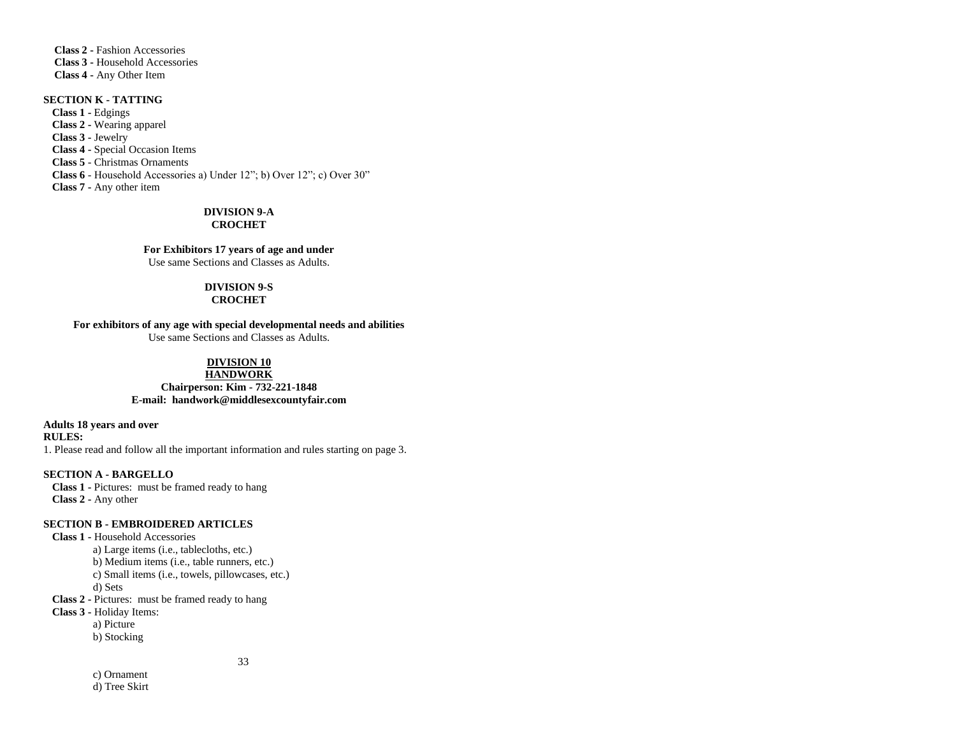**Class 2 -** Fashion Accessories  **Class 3 -** Household Accessories **Class 4 -** Any Other Item

# **SECTION K - TATTING**

**Class 1 -** Edgings **Class 2 -** Wearing apparel **Class 3 -** Jewelry **Class 4 -** Special Occasion Items **Class 5** - Christmas Ornaments **Class 6** - Household Accessories a) Under 12"; b) Over 12"; c) Over 30" **Class 7 -** Any other item

#### **DIVISION 9-A CROCHET**

**For Exhibitors 17 years of age and under** Use same Sections and Classes as Adults.

#### **DIVISION 9-S**

# **CROCHET**

# **For exhibitors of any age with special developmental needs and abilities**

Use same Sections and Classes as Adults.

# **DIVISION 10**

# **HANDWORK**

**Chairperson: Kim - 732-221-1848 E-mail: [handwork@middlesexcountyfair.com](mailto:handwork@middlesexcountyfair.com)**

**Adults 18 years and over**

**RULES:**

1. Please read and follow all the important information and rules starting on page 3.

# **SECTION A - BARGELLO**

**Class 1 -** Pictures: must be framed ready to hang **Class 2 -** Any other

# **SECTION B - EMBROIDERED ARTICLES**

**Class 1 -** Household Accessories a) Large items (i.e., tablecloths, etc.) b) Medium items (i.e., table runners, etc.) c) Small items (i.e., towels, pillowcases, etc.) d) Sets **Class 2 -** Pictures: must be framed ready to hang **Class 3 -** Holiday Items: a) Picture b) Stocking

33

 c) Ornament d) Tree Skirt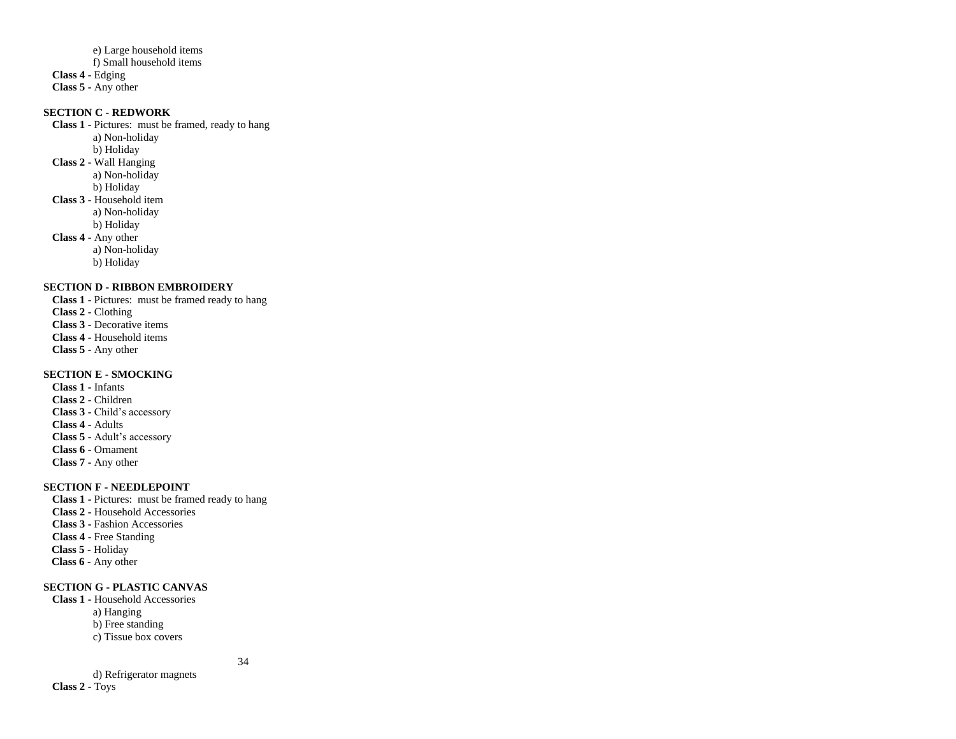e) Large household items f) Small household items **Class 4 -** Edging **Class 5 -** Any other

# **SECTION C - REDWORK**

**Class 1 -** Pictures: must be framed, ready to hang a) Non**-**holiday b) Holiday **Class 2** - Wall Hanging a) Non**-**holiday b) Holiday **Class 3 -** Household item a) Non**-**holiday b) Holiday **Class 4 -** Any other a) Non**-**holiday b) Holiday **SECTION D - RIBBON EMBROIDERY**

**Class 1 -** Pictures: must be framed ready to hang **Class 2 -** Clothing **Class 3 -** Decorative items **Class 4 -** Household items **Class 5 -** Any other

# **SECTION E - SMOCKING**

**Class 1 -** Infants **Class 2 -** Children **Class 3 -** Child's accessory **Class 4 -** Adults **Class 5 -** Adult's accessory **Class 6 -** Ornament **Class 7 -** Any other

# **SECTION F - NEEDLEPOINT**

**Class 1 -** Pictures: must be framed ready to hang **Class 2 -** Household Accessories **Class 3 -** Fashion Accessories **Class 4 -** Free Standing  **Class 5 -** Holiday  **Class 6 -** Any other

# **SECTION G - PLASTIC CANVAS**

**Class 1 -** Household Accessories a) Hanging b) Free standing c) Tissue box covers

34

 d) Refrigerator magnets **Class 2 -** Toys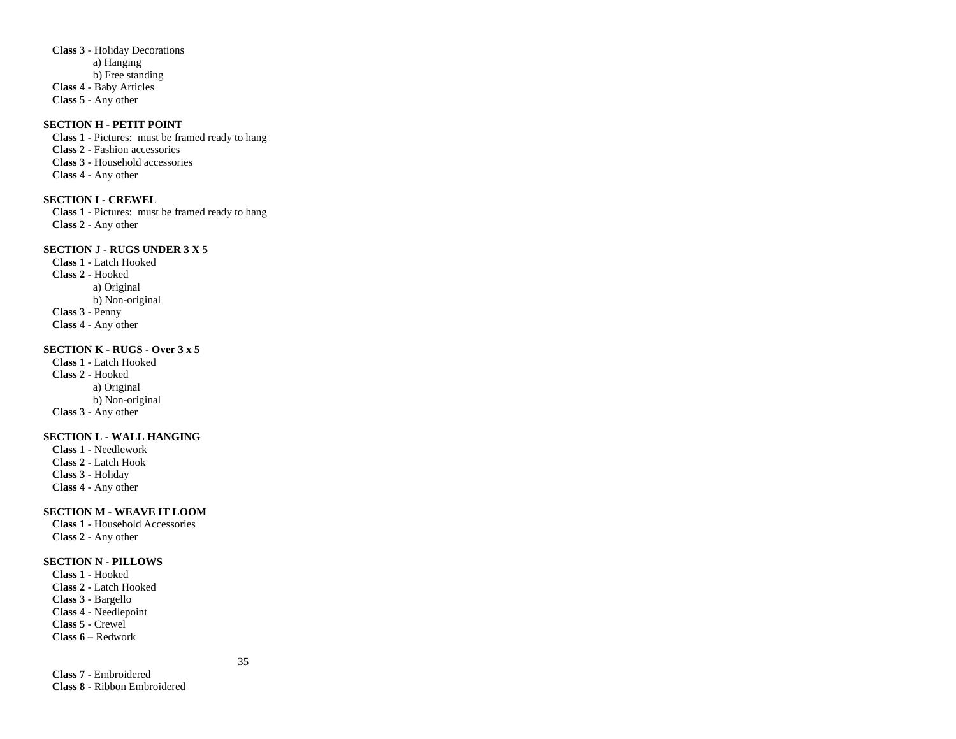**Class 3** - Holiday Decorations a) Hanging b) Free standing **Class 4 -** Baby Articles **Class 5 -** Any other

# **SECTION H - PETIT POINT**

**Class 1 -** Pictures: must be framed ready to hang **Class 2 -** Fashion accessories **Class 3 -** Household accessories **Class 4 -** Any other

#### **SECTION I - CREWEL**

**Class 1 -** Pictures: must be framed ready to hang **Class 2 -** Any other

# **SECTION J - RUGS UNDER 3 X 5**

**Class 1 -** Latch Hooked **Class 2 -** Hooked a) Original b) Non-original **Class 3 -** Penny **Class 4 -** Any other

#### **SECTION K - RUGS - Over 3 x 5**

**Class 1 -** Latch Hooked **Class 2 -** Hooked a) Original b) Non-original **Class 3 -** Any other

# **SECTION L - WALL HANGING**

**Class 1 -** Needlework **Class 2 -** Latch Hook **Class 3 -** Holiday **Class 4 -** Any other

### **SECTION M - WEAVE IT LOOM**

**Class 1 -** Household Accessories **Class 2 -** Any other

### **SECTION N - PILLOWS**

**Class 1 -** Hooked **Class 2 -** Latch Hooked **Class 3 -** Bargello **Class 4 -** Needlepoint **Class 5 -** Crewel **Class 6 –** Redwork

35

**Class 7 -** Embroidered **Class 8 -** Ribbon Embroidered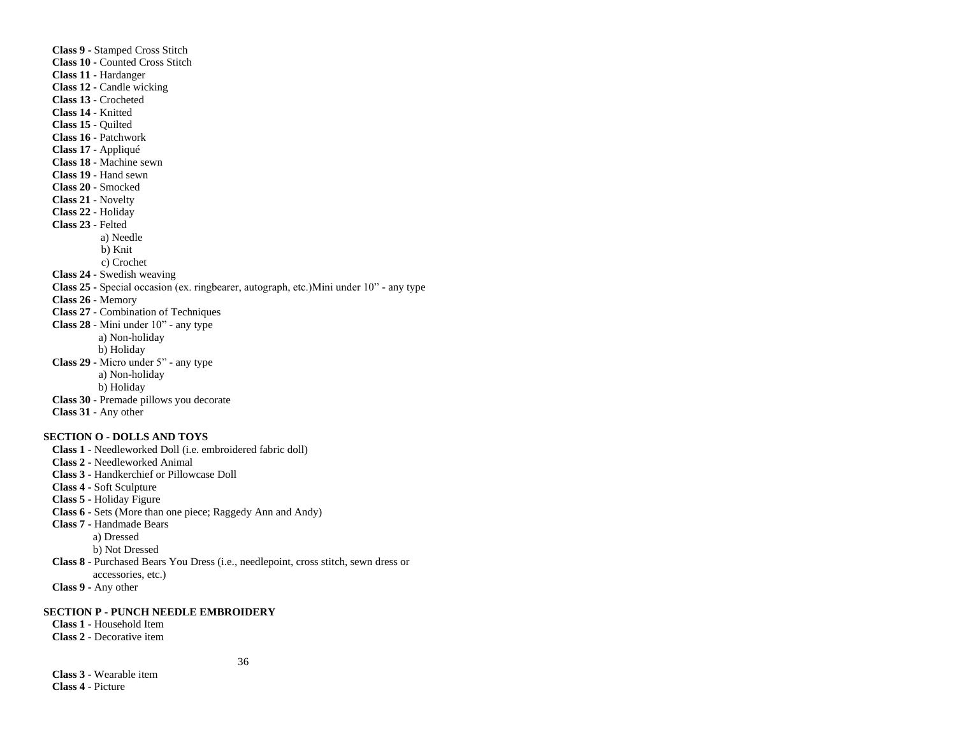**Class 9 -** Stamped Cross Stitch **Class 10 -** Counted Cross Stitch **Class 11 -** Hardanger **Class 12 -** Candle wicking **Class 13 -** Crocheted **Class 14 -** Knitted **Class 15 -** Quilted **Class 16 -** Patchwork **Class 17 -** Appliqué **Class 18** - Machine sewn **Class 19** - Hand sewn **Class 20** - Smocked **Class 21** - Novelty **Class 22** - Holiday **Class 23 -** Felted a) Needle b) Knit c) Crochet **Class 24 -** Swedish weaving **Class 25 -** Special occasion (ex. ringbearer, autograph, etc.)Mini under 10" - any type **Class 26 -** Memory **Class 27** - Combination of Techniques **Class 28** - Mini under 10" - any type a) Non-holiday b) Holiday **Class 29 -** Micro under 5" - any type a) Non-holiday b) Holiday **Class 30 -** Premade pillows you decorate **Class 31** - Any other

# **SECTION O - DOLLS AND TOYS**

**Class 1 -** Needleworked Doll (i.e. embroidered fabric doll) **Class 2 -** Needleworked Animal **Class 3 -** Handkerchief or Pillowcase Doll **Class 4 -** Soft Sculpture **Class 5 -** Holiday Figure **Class 6 -** Sets (More than one piece; Raggedy Ann and Andy) **Class 7 -** Handmade Bears a) Dressed b) Not Dressed **Class 8 -** Purchased Bears You Dress (i.e., needlepoint, cross stitch, sewn dress or accessories, etc.) **Class 9 -** Any other

#### **SECTION P - PUNCH NEEDLE EMBROIDERY**

**Class 1** - Household Item **Class 2** - Decorative item

36

**Class 3** - Wearable item **Class 4** - Picture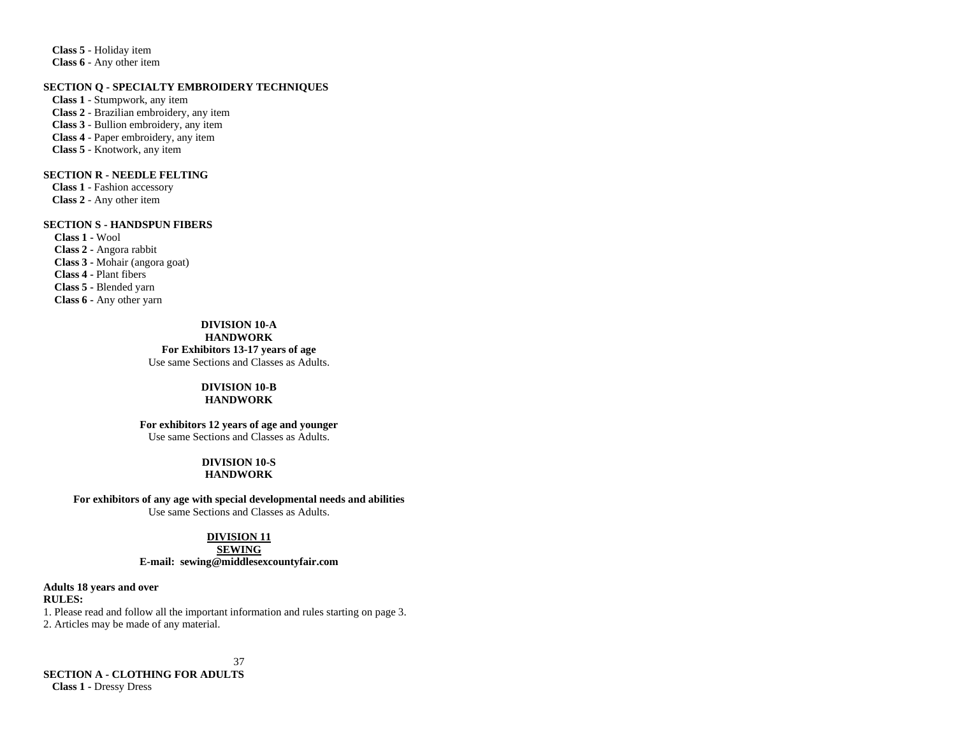**Class 5** - Holiday item **Class 6** - Any other item

# **SECTION Q - SPECIALTY EMBROIDERY TECHNIQUES**

**Class 1** - Stumpwork, any item **Class 2** - Brazilian embroidery, any item **Class 3** - Bullion embroidery, any item **Class 4** - Paper embroidery, any item **Class 5** - Knotwork, any item

# **SECTION R - NEEDLE FELTING**

**Class 1** - Fashion accessory **Class 2** - Any other item

#### **SECTION S - HANDSPUN FIBERS**

 **Class 1 -** Wool  **Class 2 -** Angora rabbit **Class 3 -** Mohair (angora goat) **Class 4 -** Plant fibers  **Class 5 -** Blended yarn **Class 6 -** Any other yarn

> **DIVISION 10-A HANDWORK For Exhibitors 13-17 years of age** Use same Sections and Classes as Adults.

#### **DIVISION 10-B HANDWORK**

# **For exhibitors 12 years of age and younger**

Use same Sections and Classes as Adults.

#### **DIVISION 10-S HANDWORK**

**For exhibitors of any age with special developmental needs and abilities**

Use same Sections and Classes as Adults.

# **DIVISION 11**

# **SEWING E-mail: [sewing@middlesexcountyfair.com](mailto:sewing@middlesexcountyfair.com)**

**Adults 18 years and over**

# **RULES:**

1. Please read and follow all the important information and rules starting on page 3. 2. Articles may be made of any material.

37

**SECTION A - CLOTHING FOR ADULTS Class 1 -** Dressy Dress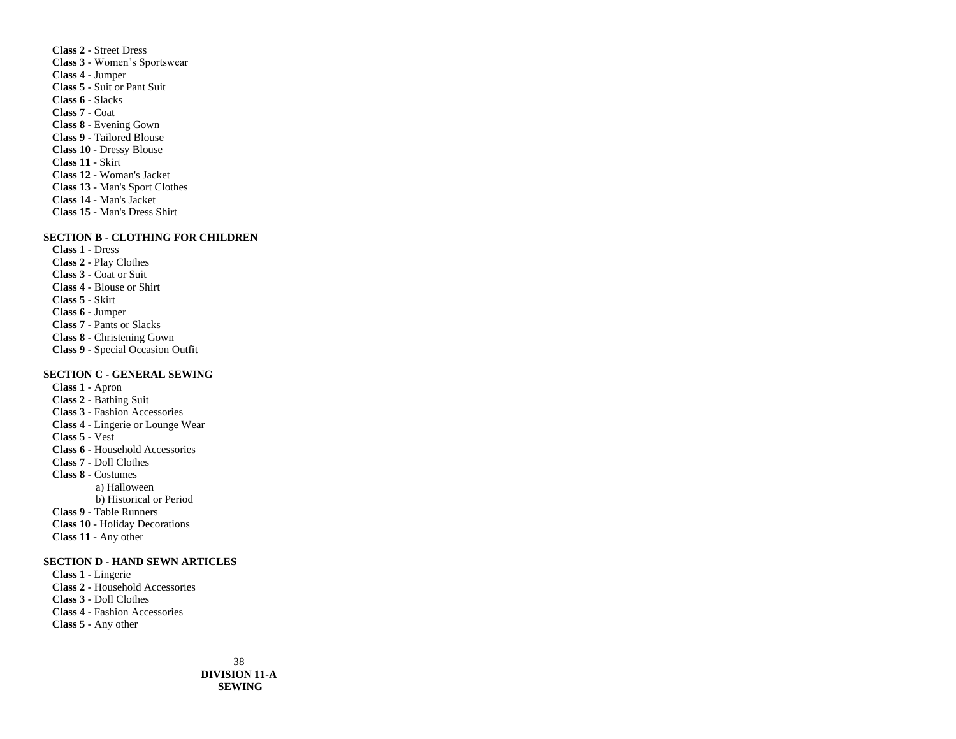**Class 2 -** Street Dress **Class 3 -** Women's Sportswear **Class 4 -** Jumper **Class 5 -** Suit or Pant Suit **Class 6 -** Slacks **Class 7 -** Coat **Class 8 -** Evening Gown **Class 9 -** Tailored Blouse **Class 10 -** Dressy Blouse **Class 11 -** Skirt **Class 12 -** Woman's Jacket **Class 13 -** Man's Sport Clothes **Class 14 -** Man's Jacket **Class 15 -** Man's Dress Shirt

#### **SECTION B - CLOTHING FOR CHILDREN**

**Class 1 -** Dress **Class 2 -** Play Clothes **Class 3 -** Coat or Suit **Class 4 -** Blouse or Shirt **Class 5 -** Skirt **Class 6 -** Jumper **Class 7 -** Pants or Slacks **Class 8 -** Christening Gown **Class 9 -** Special Occasion Outfit

# **SECTION C - GENERAL SEWING**

**Class 1 -** Apron **Class 2 -** Bathing Suit **Class 3 -** Fashion Accessories **Class 4 -** Lingerie or Lounge Wear **Class 5 -** Vest **Class 6 -** Household Accessories **Class 7 -** Doll Clothes **Class 8 -** Costumes a) Halloween b) Historical or Period **Class 9 -** Table Runners **Class 10 -** Holiday Decorations **Class 11 -** Any other

### **SECTION D - HAND SEWN ARTICLES**

**Class 1 -** Lingerie **Class 2 -** Household Accessories **Class 3 -** Doll Clothes **Class 4 -** Fashion Accessories **Class 5 -** Any other

> 38 **DIVISION 11-A SEWING**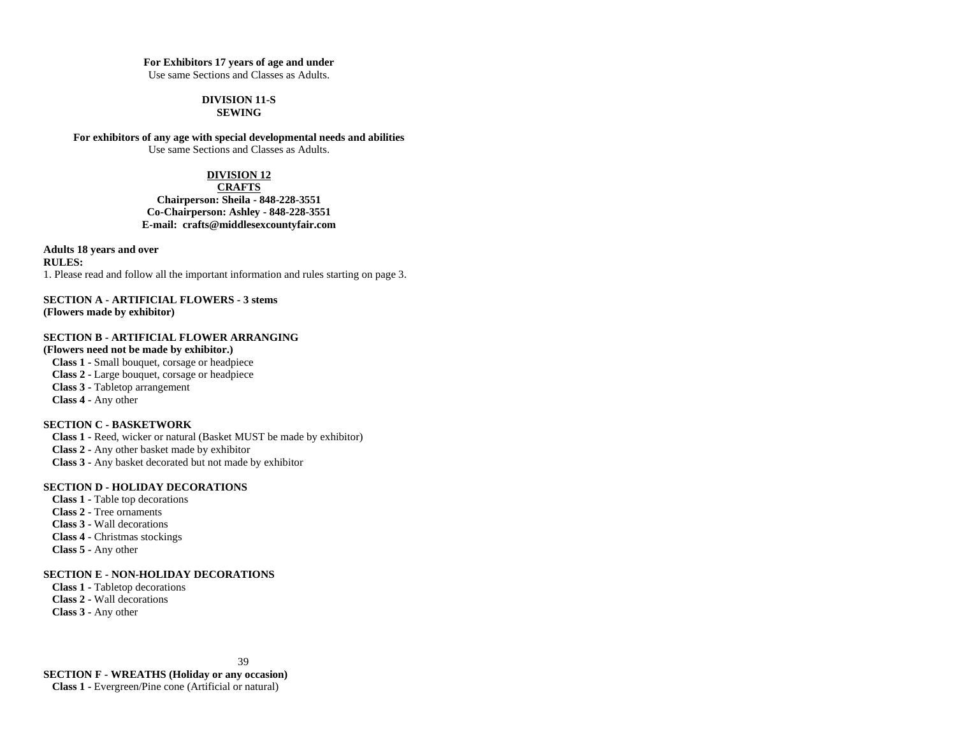#### **For Exhibitors 17 years of age and under**

Use same Sections and Classes as Adults.

#### **DIVISION 11-S SEWING**

**For exhibitors of any age with special developmental needs and abilities** Use same Sections and Classes as Adults.

# **DIVISION 12**

# **CRAFTS Chairperson: Sheila - 848-228-3551 Co-Chairperson: Ashley - 848-228-3551 E-mail: [crafts@middlesexcountyfair.com](mailto:crafts@middlesexcountyfair.com)**

**Adults 18 years and over RULES:** 1. Please read and follow all the important information and rules starting on page 3.

**SECTION A - ARTIFICIAL FLOWERS - 3 stems (Flowers made by exhibitor)**

# **SECTION B - ARTIFICIAL FLOWER ARRANGING**

**(Flowers need not be made by exhibitor.) Class 1 -** Small bouquet, corsage or headpiece **Class 2 -** Large bouquet, corsage or headpiece **Class 3 -** Tabletop arrangement **Class 4 -** Any other

# **SECTION C - BASKETWORK**

**Class 1 -** Reed, wicker or natural (Basket MUST be made by exhibitor) **Class 2 -** Any other basket made by exhibitor **Class 3 -** Any basket decorated but not made by exhibitor

# **SECTION D - HOLIDAY DECORATIONS**

**Class 1 -** Table top decorations **Class 2 -** Tree ornaments **Class 3 -** Wall decorations **Class 4 -** Christmas stockings **Class 5 -** Any other

# **SECTION E - NON-HOLIDAY DECORATIONS**

**Class 1 -** Tabletop decorations **Class 2 -** Wall decorations **Class 3 -** Any other

39

**SECTION F - WREATHS (Holiday or any occasion) Class 1 -** Evergreen/Pine cone (Artificial or natural)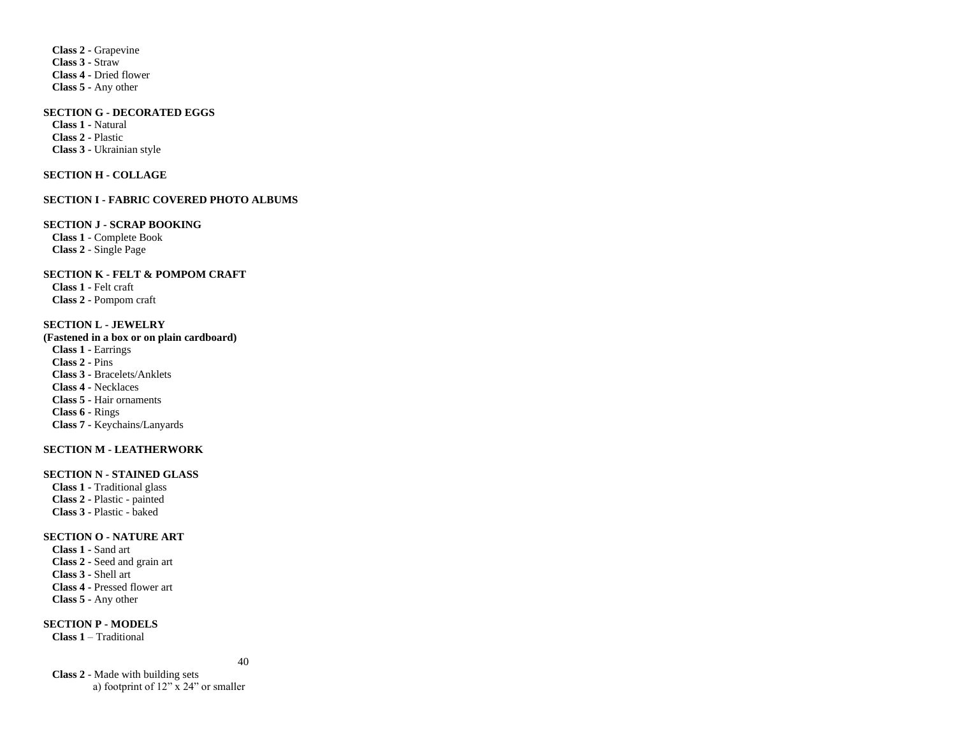**Class 2 -** Grapevine **Class 3 -** Straw **Class 4 -** Dried flower **Class 5 -** Any other

#### **SECTION G - DECORATED EGGS**

**Class 1 -** Natural **Class 2 -** Plastic **Class 3 -** Ukrainian style

### **SECTION H - COLLAGE**

#### **SECTION I - FABRIC COVERED PHOTO ALBUMS**

#### **SECTION J - SCRAP BOOKING**

**Class 1** - Complete Book **Class 2** - Single Page

# **SECTION K - FELT & POMPOM CRAFT**

**Class 1 -** Felt craft **Class 2 -** Pompom craft

# **SECTION L - JEWELRY**

**(Fastened in a box or on plain cardboard) Class 1 -** Earrings **Class 2 -** Pins **Class 3 -** Bracelets/Anklets **Class 4 -** Necklaces **Class 5 -** Hair ornaments **Class 6 -** Rings **Class 7 -** Keychains/Lanyards

# **SECTION M - LEATHERWORK**

#### **SECTION N - STAINED GLASS**

**Class 1 -** Traditional glass **Class 2 -** Plastic - painted **Class 3 -** Plastic - baked

# **SECTION O - NATURE ART**

**Class 1 -** Sand art **Class 2 -** Seed and grain art **Class 3 -** Shell art **Class 4 -** Pressed flower art **Class 5 -** Any other

**SECTION P - MODELS**

**Class 1** – Traditional

40

**Class 2** - Made with building sets a) footprint of 12" x 24" or smaller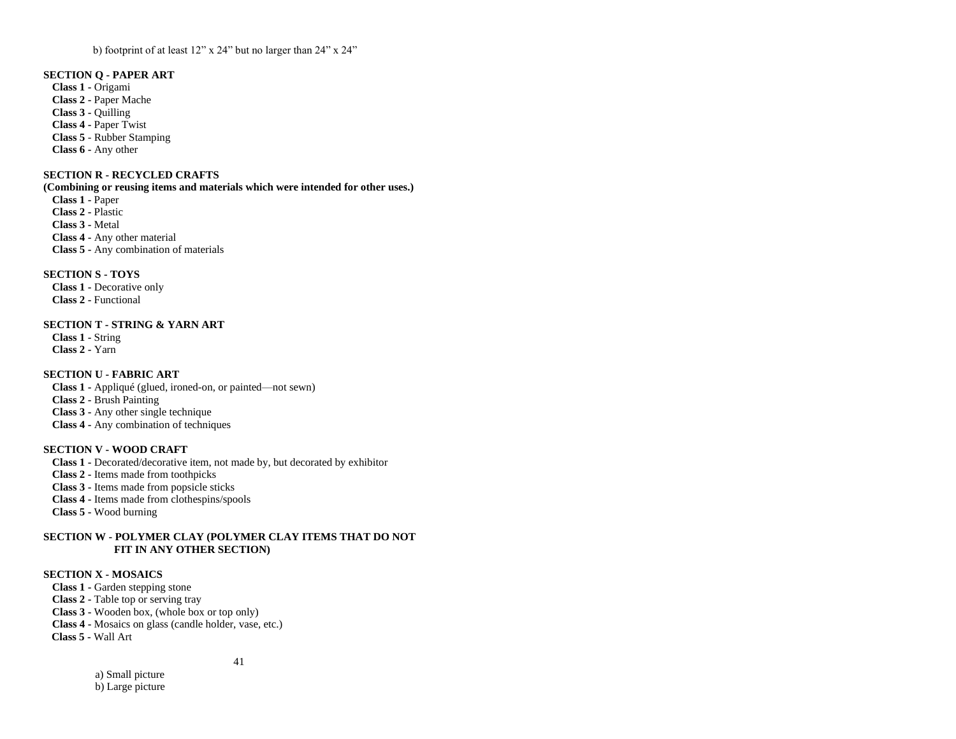b) footprint of at least 12" x 24" but no larger than 24" x 24"

# **SECTION Q - PAPER ART**

**Class 1 -** Origami **Class 2 -** Paper Mache **Class 3 -** Quilling **Class 4 -** Paper Twist **Class 5** - Rubber Stamping **Class 6 -** Any other

# **SECTION R - RECYCLED CRAFTS**

### **(Combining or reusing items and materials which were intended for other uses.)**

**Class 1 -** Paper **Class 2 -** Plastic **Class 3 -** Metal **Class 4 -** Any other material **Class 5 -** Any combination of materials

# **SECTION S - TOYS**

**Class 1 -** Decorative only **Class 2 -** Functional

# **SECTION T - STRING & YARN ART**

**Class 1 -** String **Class 2 -** Yarn

# **SECTION U - FABRIC ART**

**Class 1 -** Appliqué (glued, ironed-on, or painted—not sewn) **Class 2 -** Brush Painting **Class 3 -** Any other single technique **Class 4 -** Any combination of techniques

# **SECTION V - WOOD CRAFT**

**Class 1 -** Decorated/decorative item, not made by, but decorated by exhibitor **Class 2 -** Items made from toothpicks **Class 3 -** Items made from popsicle sticks **Class 4 -** Items made from clothespins/spools

**Class 5 -** Wood burning

# **SECTION W - POLYMER CLAY (POLYMER CLAY ITEMS THAT DO NOT FIT IN ANY OTHER SECTION)**

# **SECTION X - MOSAICS**

**Class 1 -** Garden stepping stone

**Class 2 -** Table top or serving tray

**Class 3 -** Wooden box, (whole box or top only)

**Class 4 -** Mosaics on glass (candle holder, vase, etc.)

 **Class 5 -** Wall Art

41

 a) Small picture b) Large picture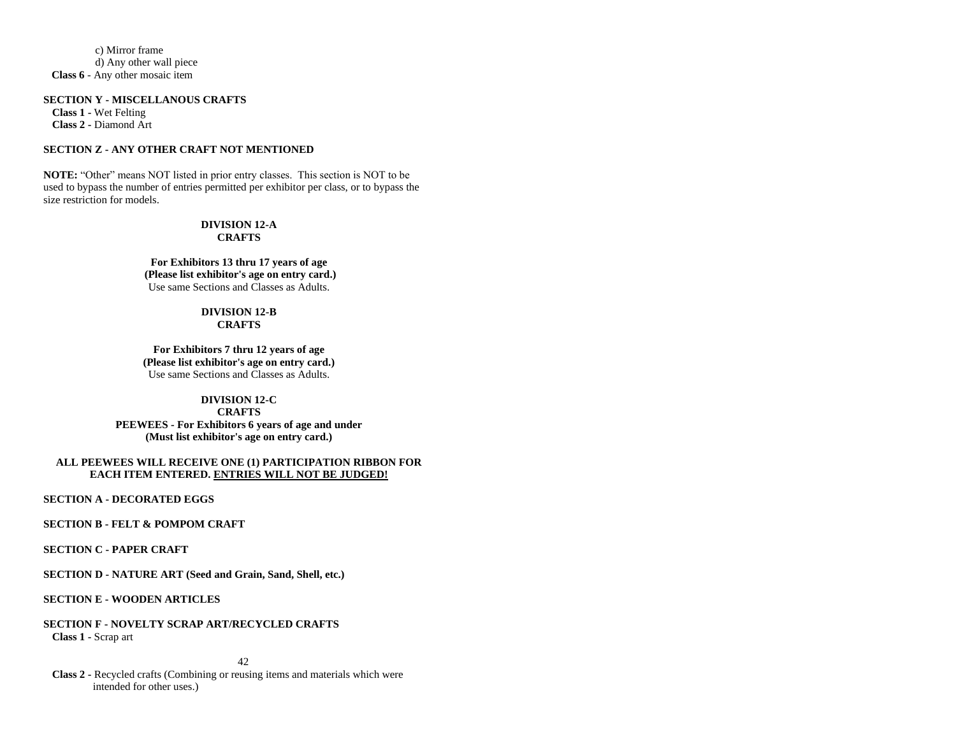c) Mirror frame d) Any other wall piece  **Class 6** - Any other mosaic item

#### **SECTION Y - MISCELLANOUS CRAFTS**

**Class 1 -** Wet Felting **Class 2 -** Diamond Art

#### **SECTION Z - ANY OTHER CRAFT NOT MENTIONED**

**NOTE:** "Other" means NOT listed in prior entry classes. This section is NOT to be used to bypass the number of entries permitted per exhibitor per class, or to bypass the size restriction for models.

# **DIVISION 12-A CRAFTS**

**For Exhibitors 13 thru 17 years of age (Please list exhibitor's age on entry card.)** Use same Sections and Classes as Adults.

#### **DIVISION 12-B CRAFTS**

**For Exhibitors 7 thru 12 years of age (Please list exhibitor's age on entry card.)** Use same Sections and Classes as Adults.

# **DIVISION 12-C CRAFTS PEEWEES - For Exhibitors 6 years of age and under (Must list exhibitor's age on entry card.)**

### **ALL PEEWEES WILL RECEIVE ONE (1) PARTICIPATION RIBBON FOR EACH ITEM ENTERED. ENTRIES WILL NOT BE JUDGED!**

**SECTION A - DECORATED EGGS**

#### **SECTION B - FELT & POMPOM CRAFT**

**SECTION C - PAPER CRAFT**

**SECTION D - NATURE ART (Seed and Grain, Sand, Shell, etc.)**

# **SECTION E - WOODEN ARTICLES**

# **SECTION F - NOVELTY SCRAP ART/RECYCLED CRAFTS Class 1 -** Scrap art

42

**Class 2 -** Recycled crafts (Combining or reusing items and materials which were intended for other uses.)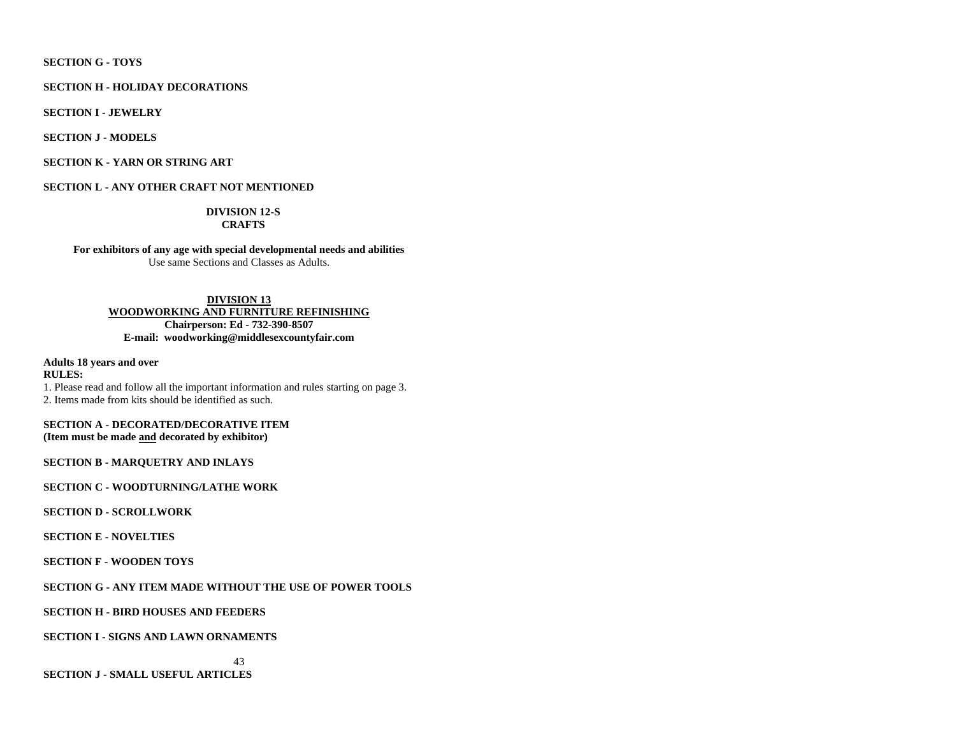# **SECTION G - TOYS**

#### **SECTION H - HOLIDAY DECORATIONS**

**SECTION I - JEWELRY**

**SECTION J - MODELS**

# **SECTION K - YARN OR STRING ART**

**SECTION L - ANY OTHER CRAFT NOT MENTIONED**

# **DIVISION 12-S CRAFTS**

**For exhibitors of any age with special developmental needs and abilities** Use same Sections and Classes as Adults.

**DIVISION 13 WOODWORKING AND FURNITURE REFINISHING Chairperson: Ed - 732-390-8507 E-mail: woodworking@middlesexcountyfair.com**

**Adults 18 years and over RULES:** 1. Please read and follow all the important information and rules starting on page 3. 2. Items made from kits should be identified as such.

**SECTION A - DECORATED/DECORATIVE ITEM (Item must be made and decorated by exhibitor)**

**SECTION B - MARQUETRY AND INLAYS**

**SECTION C - WOODTURNING/LATHE WORK**

**SECTION D - SCROLLWORK**

#### **SECTION E - NOVELTIES**

**SECTION F - WOODEN TOYS** 

# **SECTION G - ANY ITEM MADE WITHOUT THE USE OF POWER TOOLS**

# **SECTION H - BIRD HOUSES AND FEEDERS**

# **SECTION I - SIGNS AND LAWN ORNAMENTS**

43

**SECTION J - SMALL USEFUL ARTICLES**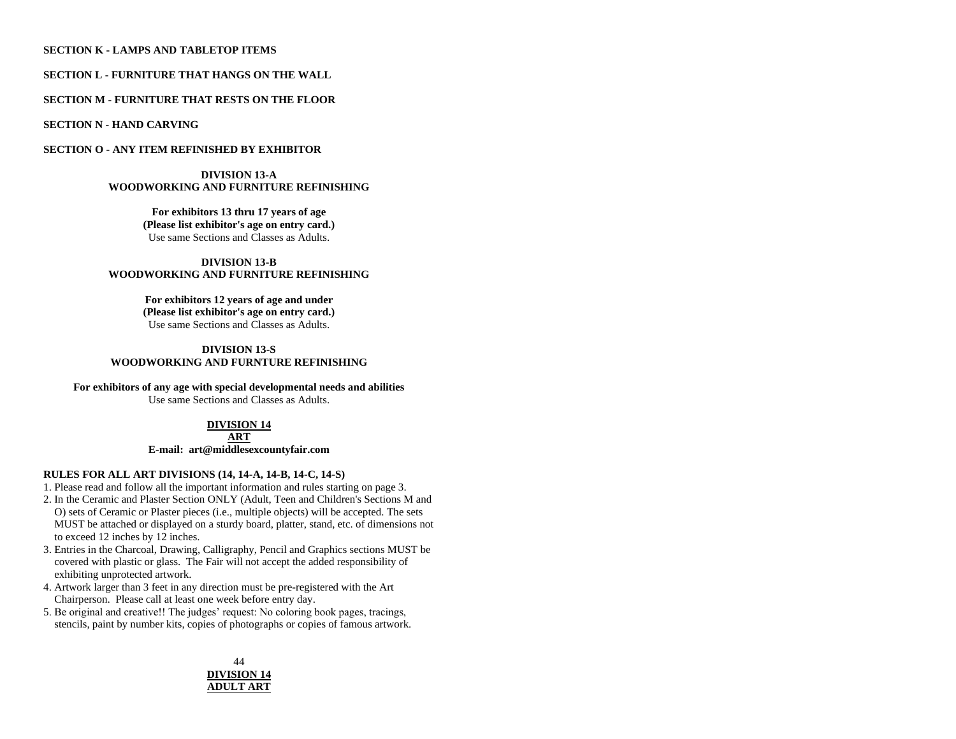# **SECTION K - LAMPS AND TABLETOP ITEMS**

# **SECTION L - FURNITURE THAT HANGS ON THE WALL**

# **SECTION M - FURNITURE THAT RESTS ON THE FLOOR**

**SECTION N - HAND CARVING**

### **SECTION O - ANY ITEM REFINISHED BY EXHIBITOR**

#### **DIVISION 13-A WOODWORKING AND FURNITURE REFINISHING**

**For exhibitors 13 thru 17 years of age (Please list exhibitor's age on entry card.)** Use same Sections and Classes as Adults.

### **DIVISION 13-B WOODWORKING AND FURNITURE REFINISHING**

**For exhibitors 12 years of age and under (Please list exhibitor's age on entry card.)** Use same Sections and Classes as Adults.

# **DIVISION 13-S WOODWORKING AND FURNTURE REFINISHING**

# **For exhibitors of any age with special developmental needs and abilities**

Use same Sections and Classes as Adults.

# **DIVISION 14**

**ART E-mail: art@middlesexcountyfair.com**

# **RULES FOR ALL ART DIVISIONS (14, 14-A, 14-B, 14-C, 14-S)**

1. Please read and follow all the important information and rules starting on page 3.

- 2. In the Ceramic and Plaster Section ONLY (Adult, Teen and Children's Sections M and O) sets of Ceramic or Plaster pieces (i.e., multiple objects) will be accepted. The sets MUST be attached or displayed on a sturdy board, platter, stand, etc. of dimensions not to exceed 12 inches by 12 inches.
- 3. Entries in the Charcoal, Drawing, Calligraphy, Pencil and Graphics sections MUST be covered with plastic or glass. The Fair will not accept the added responsibility of exhibiting unprotected artwork.
- 4. Artwork larger than 3 feet in any direction must be pre-registered with the Art Chairperson. Please call at least one week before entry day.
- 5. Be original and creative!! The judges' request: No coloring book pages, tracings, stencils, paint by number kits, copies of photographs or copies of famous artwork.

# 44 **DIVISION 14 ADULT ART**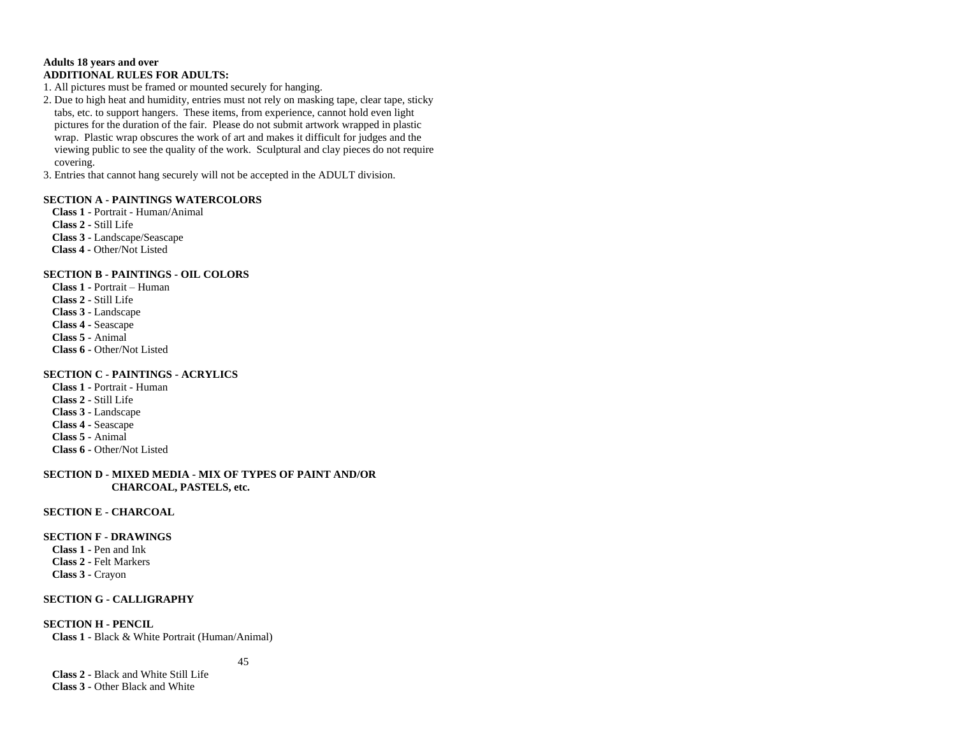# **Adults 18 years and over ADDITIONAL RULES FOR ADULTS:**

1. All pictures must be framed or mounted securely for hanging.

2. Due to high heat and humidity, entries must not rely on masking tape, clear tape, sticky tabs, etc. to support hangers. These items, from experience, cannot hold even light pictures for the duration of the fair. Please do not submit artwork wrapped in plastic wrap. Plastic wrap obscures the work of art and makes it difficult for judges and the viewing public to see the quality of the work. Sculptural and clay pieces do not require covering.

3. Entries that cannot hang securely will not be accepted in the ADULT division.

# **SECTION A - PAINTINGS WATERCOLORS**

**Class 1 -** Portrait - Human/Animal **Class 2 -** Still Life **Class 3 -** Landscape/Seascape  **Class 4 -** Other/Not Listed

### **SECTION B - PAINTINGS - OIL COLORS**

**Class 1 -** Portrait – Human **Class 2 -** Still Life **Class 3 -** Landscape **Class 4 -** Seascape **Class 5 -** Animal **Class 6 -** Other/Not Listed

# **SECTION C - PAINTINGS - ACRYLICS**

**Class 1 -** Portrait - Human **Class 2 -** Still Life **Class 3 -** Landscape **Class 4 -** Seascape **Class 5 -** Animal **Class 6 -** Other/Not Listed

# **SECTION D - MIXED MEDIA - MIX OF TYPES OF PAINT AND/OR CHARCOAL, PASTELS, etc.**

#### **SECTION E - CHARCOAL**

#### **SECTION F - DRAWINGS**

**Class 1 -** Pen and Ink **Class 2 -** Felt Markers **Class 3 -** Crayon

# **SECTION G - CALLIGRAPHY**

**SECTION H - PENCIL Class 1 -** Black & White Portrait (Human/Animal)

45

**Class 2 -** Black and White Still Life **Class 3 -** Other Black and White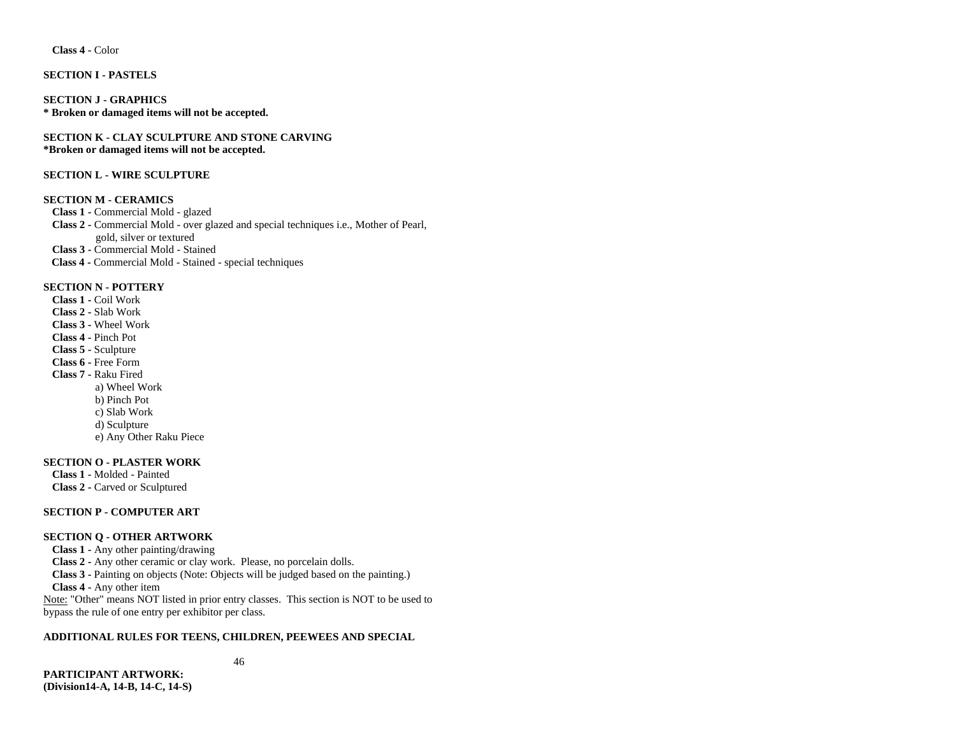**Class 4 -** Color

# **SECTION I - PASTELS**

**SECTION J - GRAPHICS \* Broken or damaged items will not be accepted.**

**SECTION K - CLAY SCULPTURE AND STONE CARVING \*Broken or damaged items will not be accepted.**

# **SECTION L - WIRE SCULPTURE**

#### **SECTION M - CERAMICS**

**Class 1 -** Commercial Mold - glazed

**Class 2 -** Commercial Mold - over glazed and special techniques i.e., Mother of Pearl, gold, silver or textured **Class 3 -** Commercial Mold - Stained  **Class 4 -** Commercial Mold - Stained - special techniques

#### **SECTION N - POTTERY**

**Class 1 -** Coil Work **Class 2 -** Slab Work **Class 3 -** Wheel Work **Class 4 -** Pinch Pot **Class 5 -** Sculpture **Class 6 -** Free Form **Class 7 -** Raku Fired a) Wheel Work b) Pinch Pot c) Slab Work d) Sculpture

e) Any Other Raku Piece

# **SECTION O - PLASTER WORK**

**Class 1 -** Molded - Painted **Class 2 -** Carved or Sculptured

# **SECTION P - COMPUTER ART**

# **SECTION Q - OTHER ARTWORK**

**Class 1 -** Any other painting/drawing **Class 2 -** Any other ceramic or clay work. Please, no porcelain dolls. **Class 3 -** Painting on objects (Note: Objects will be judged based on the painting.) **Class 4 -** Any other item Note: "Other" means NOT listed in prior entry classes. This section is NOT to be used to bypass the rule of one entry per exhibitor per class.

# **ADDITIONAL RULES FOR TEENS, CHILDREN, PEEWEES AND SPECIAL**

46

**PARTICIPANT ARTWORK: (Division14-A, 14-B, 14-C, 14-S)**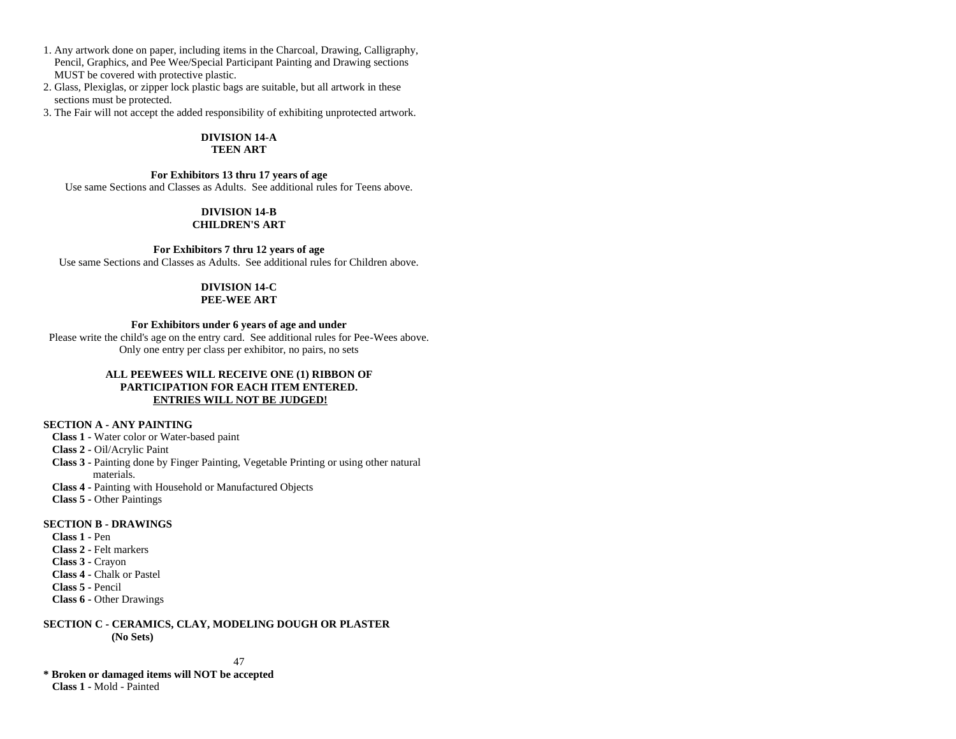- 1. Any artwork done on paper, including items in the Charcoal, Drawing, Calligraphy, Pencil, Graphics, and Pee Wee/Special Participant Painting and Drawing sections MUST be covered with protective plastic.
- 2. Glass, Plexiglas, or zipper lock plastic bags are suitable, but all artwork in these sections must be protected.
- 3. The Fair will not accept the added responsibility of exhibiting unprotected artwork.

#### **DIVISION 14-A TEEN ART**

# **For Exhibitors 13 thru 17 years of age**

Use same Sections and Classes as Adults. See additional rules for Teens above.

# **DIVISION 14-B CHILDREN'S ART**

# **For Exhibitors 7 thru 12 years of age**

Use same Sections and Classes as Adults. See additional rules for Children above.

# **DIVISION 14-C**

# **PEE-WEE ART**

### **For Exhibitors under 6 years of age and under**

Please write the child's age on the entry card. See additional rules for Pee-Wees above. Only one entry per class per exhibitor, no pairs, no sets

# **ALL PEEWEES WILL RECEIVE ONE (1) RIBBON OF PARTICIPATION FOR EACH ITEM ENTERED. ENTRIES WILL NOT BE JUDGED!**

# **SECTION A - ANY PAINTING**

- **Class 1 -** Water color or Water-based paint
- **Class 2 -** Oil/Acrylic Paint
- **Class 3 -** Painting done by Finger Painting, Vegetable Printing or using other natural materials.
- **Class 4 -** Painting with Household or Manufactured Objects
- **Class 5 -** Other Paintings

### **SECTION B - DRAWINGS**

**Class 1 -** Pen **Class 2 -** Felt markers **Class 3 -** Crayon **Class 4 -** Chalk or Pastel **Class 5 -** Pencil **Class 6 -** Other Drawings

**SECTION C - CERAMICS, CLAY, MODELING DOUGH OR PLASTER (No Sets)**

47

**\* Broken or damaged items will NOT be accepted Class 1 -** Mold - Painted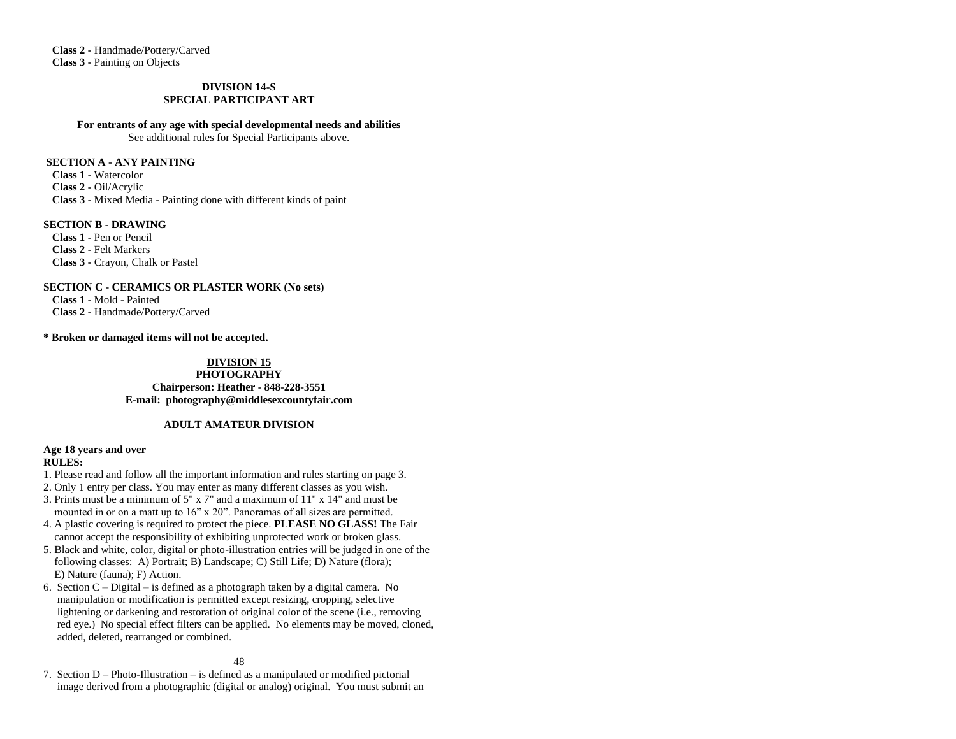**Class 2 -** Handmade/Pottery/Carved **Class 3 -** Painting on Objects

# **DIVISION 14-S SPECIAL PARTICIPANT ART**

#### **For entrants of any age with special developmental needs and abilities**

See additional rules for Special Participants above.

# **SECTION A - ANY PAINTING**

**Class 1 -** Watercolor **Class 2 -** Oil/Acrylic **Class 3 -** Mixed Media - Painting done with different kinds of paint

# **SECTION B - DRAWING**

**Class 1 -** Pen or Pencil **Class 2 -** Felt Markers **Class 3 -** Crayon, Chalk or Pastel

### **SECTION C - CERAMICS OR PLASTER WORK (No sets) Class 1 -** Mold - Painted

**Class 2 -** Handmade/Pottery/Carved

**\* Broken or damaged items will not be accepted.**

# **DIVISION 15**

**PHOTOGRAPHY Chairperson: Heather - 848-228-3551 E-mail: [photography@middlesexcountyfair.com](mailto:photography@middlesexcountyfair.com)**

# **ADULT AMATEUR DIVISION**

#### **Age 18 years and over RULES:**

- 1. Please read and follow all the important information and rules starting on page 3.
- 2. Only 1 entry per class. You may enter as many different classes as you wish.
- 3. Prints must be a minimum of 5" x 7" and a maximum of 11" x 14" and must be mounted in or on a matt up to 16" x 20". Panoramas of all sizes are permitted.
- 4. A plastic covering is required to protect the piece. **PLEASE NO GLASS!** The Fair cannot accept the responsibility of exhibiting unprotected work or broken glass.
- 5. Black and white, color, digital or photo-illustration entries will be judged in one of the following classes: A) Portrait; B) Landscape; C) Still Life; D) Nature (flora); E) Nature (fauna); F) Action.
- 6. Section  $C Digital is defined as a photograph taken by a digital camera. No$  manipulation or modification is permitted except resizing, cropping, selective lightening or darkening and restoration of original color of the scene (i.e., removing red eye.) No special effect filters can be applied. No elements may be moved, cloned, added, deleted, rearranged or combined.

# 48

7. Section D – Photo-Illustration – is defined as a manipulated or modified pictorial image derived from a photographic (digital or analog) original. You must submit an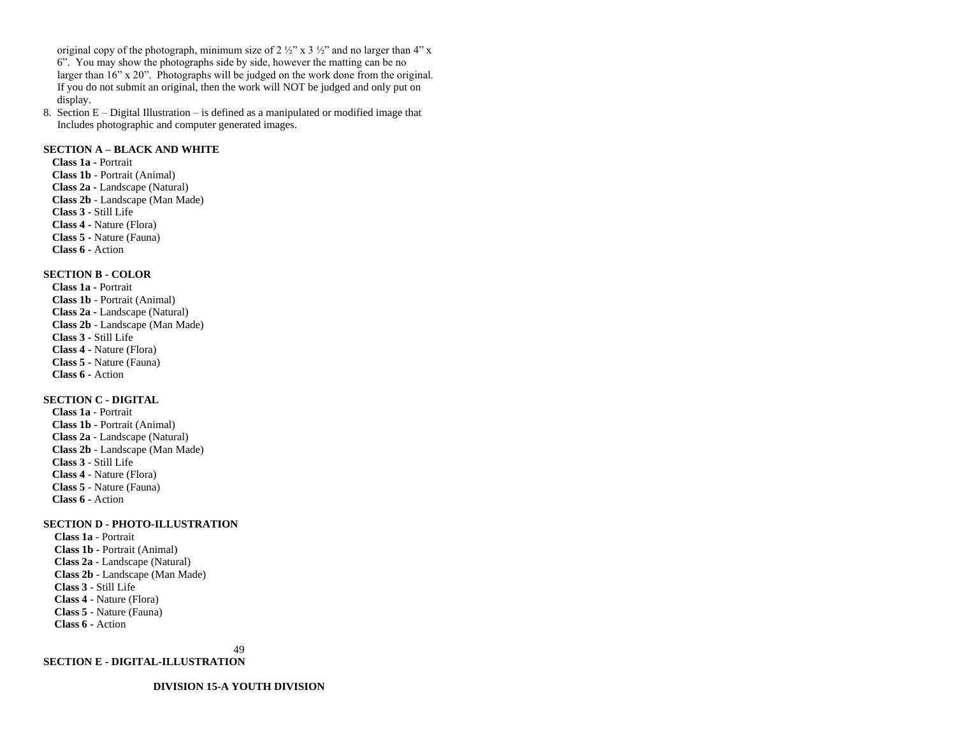original copy of the photograph, minimum size of  $2 \frac{1}{2}$ " x  $3 \frac{1}{2}$ " and no larger than 4" x 6". You may show the photographs side by side, however the matting can be no larger than 16" x 20". Photographs will be judged on the work done from the original. If you do not submit an original, then the work will NOT be judged and only put on display.

8. Section E – Digital Illustration – is defined as a manipulated or modified image that Includes photographic and computer generated images.

# **SECTION A – BLACK AND WHITE**

**Class 1a -** Portrait **Class 1b** - Portrait (Animal) **Class 2a -** Landscape (Natural) **Class 2b** - Landscape (Man Made) **Class 3 -** Still Life **Class 4 -** Nature (Flora) **Class 5 -** Nature (Fauna) **Class 6 -** Action

# **SECTION B - COLOR**

**Class 1a -** Portrait **Class 1b** - Portrait (Animal) **Class 2a -** Landscape (Natural) **Class 2b** - Landscape (Man Made) **Class 3 -** Still Life **Class 4 -** Nature (Flora) **Class 5 -** Nature (Fauna) **Class 6 -** Action

# **SECTION C - DIGITAL**

**Class 1a** - Portrait **Class 1b -** Portrait (Animal) **Class 2a** - Landscape (Natural) **Class 2b** - Landscape (Man Made) **Class 3** - Still Life **Class 4** - Nature (Flora) **Class 5** - Nature (Fauna) **Class 6 -** Action

#### **SECTION D - PHOTO-ILLUSTRATION**

 **Class 1a** - Portrait  **Class 1b -** Portrait (Animal)  **Class 2a** - Landscape (Natural)  **Class 2b** - Landscape (Man Made)  **Class 3** - Still Life  **Class 4** - Nature (Flora)  **Class 5** - Nature (Fauna) **Class 6 -** Action

49

**SECTION E - DIGITAL-ILLUSTRATION**

**DIVISION 15-A YOUTH DIVISION**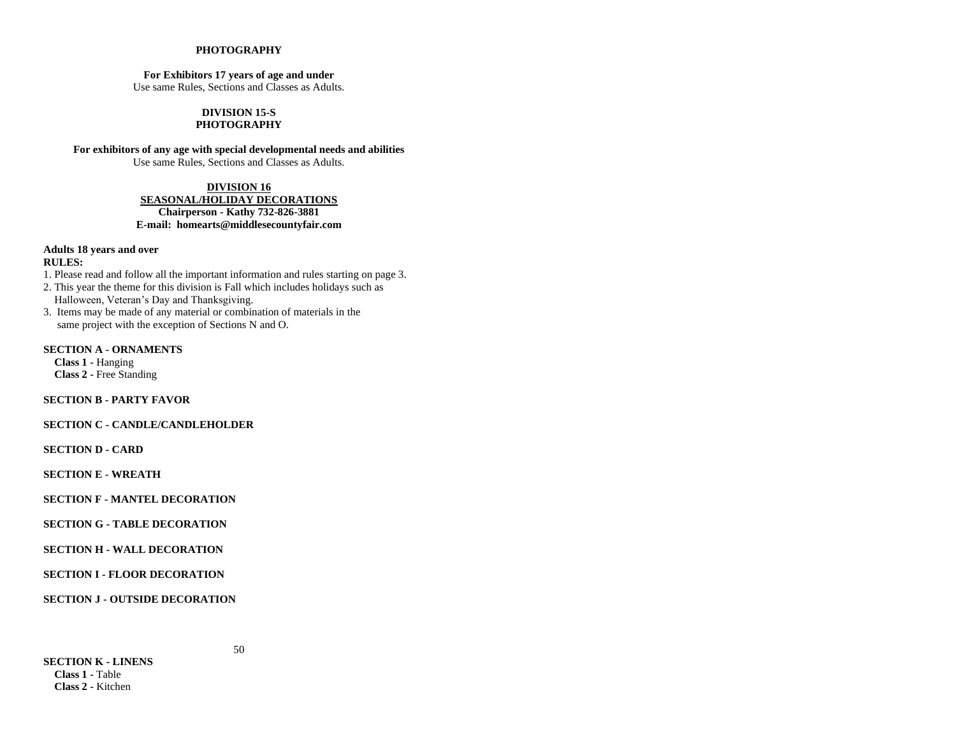# **PHOTOGRAPHY**

# **For Exhibitors 17 years of age and under**

Use same Rules, Sections and Classes as Adults.

#### **DIVISION 15-S PHOTOGRAPHY**

**For exhibitors of any age with special developmental needs and abilities**

Use same Rules, Sections and Classes as Adults.

# **DIVISION 16 SEASONAL/HOLIDAY DECORATIONS Chairperson - Kathy 732-826-3881 E-mail: homearts@middlesecountyfair.com**

# **Adults 18 years and over**

# **RULES:**

1. Please read and follow all the important information and rules starting on page 3.

- 2. This year the theme for this division is Fall which includes holidays such as Halloween, Veteran's Day and Thanksgiving.
- 3. Items may be made of any material or combination of materials in the same project with the exception of Sections N and O.

#### **SECTION A - ORNAMENTS**

 **Class 1 -** Hanging  **Class 2 -** Free Standing

**SECTION B - PARTY FAVOR**

# **SECTION C - CANDLE/CANDLEHOLDER**

**SECTION D - CARD**

**SECTION E - WREATH**

# **SECTION F - MANTEL DECORATION**

# **SECTION G - TABLE DECORATION**

# **SECTION H - WALL DECORATION**

**SECTION I - FLOOR DECORATION** 

**SECTION J - OUTSIDE DECORATION**

**SECTION K - LINENS Class 1 -** Table  **Class 2 -** Kitchen